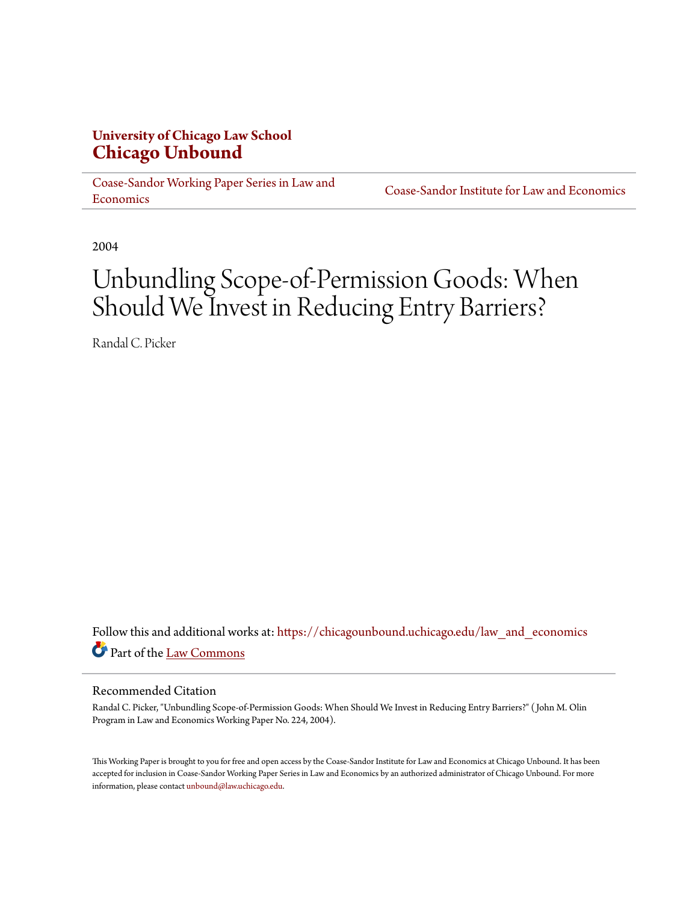## **University of Chicago Law School [Chicago Unbound](https://chicagounbound.uchicago.edu?utm_source=chicagounbound.uchicago.edu%2Flaw_and_economics%2F603&utm_medium=PDF&utm_campaign=PDFCoverPages)**

[Coase-Sandor Working Paper Series in Law and](https://chicagounbound.uchicago.edu/law_and_economics?utm_source=chicagounbound.uchicago.edu%2Flaw_and_economics%2F603&utm_medium=PDF&utm_campaign=PDFCoverPages) [Economics](https://chicagounbound.uchicago.edu/law_and_economics?utm_source=chicagounbound.uchicago.edu%2Flaw_and_economics%2F603&utm_medium=PDF&utm_campaign=PDFCoverPages)

[Coase-Sandor Institute for Law and Economics](https://chicagounbound.uchicago.edu/coase_sandor_institute?utm_source=chicagounbound.uchicago.edu%2Flaw_and_economics%2F603&utm_medium=PDF&utm_campaign=PDFCoverPages)

2004

# Unbundling Scope-of-Permission Goods: When Should We Invest in Reducing Entry Barriers?

Randal C. Picker

Follow this and additional works at: [https://chicagounbound.uchicago.edu/law\\_and\\_economics](https://chicagounbound.uchicago.edu/law_and_economics?utm_source=chicagounbound.uchicago.edu%2Flaw_and_economics%2F603&utm_medium=PDF&utm_campaign=PDFCoverPages) Part of the [Law Commons](http://network.bepress.com/hgg/discipline/578?utm_source=chicagounbound.uchicago.edu%2Flaw_and_economics%2F603&utm_medium=PDF&utm_campaign=PDFCoverPages)

#### Recommended Citation

Randal C. Picker, "Unbundling Scope-of-Permission Goods: When Should We Invest in Reducing Entry Barriers?" ( John M. Olin Program in Law and Economics Working Paper No. 224, 2004).

This Working Paper is brought to you for free and open access by the Coase-Sandor Institute for Law and Economics at Chicago Unbound. It has been accepted for inclusion in Coase-Sandor Working Paper Series in Law and Economics by an authorized administrator of Chicago Unbound. For more information, please contact [unbound@law.uchicago.edu.](mailto:unbound@law.uchicago.edu)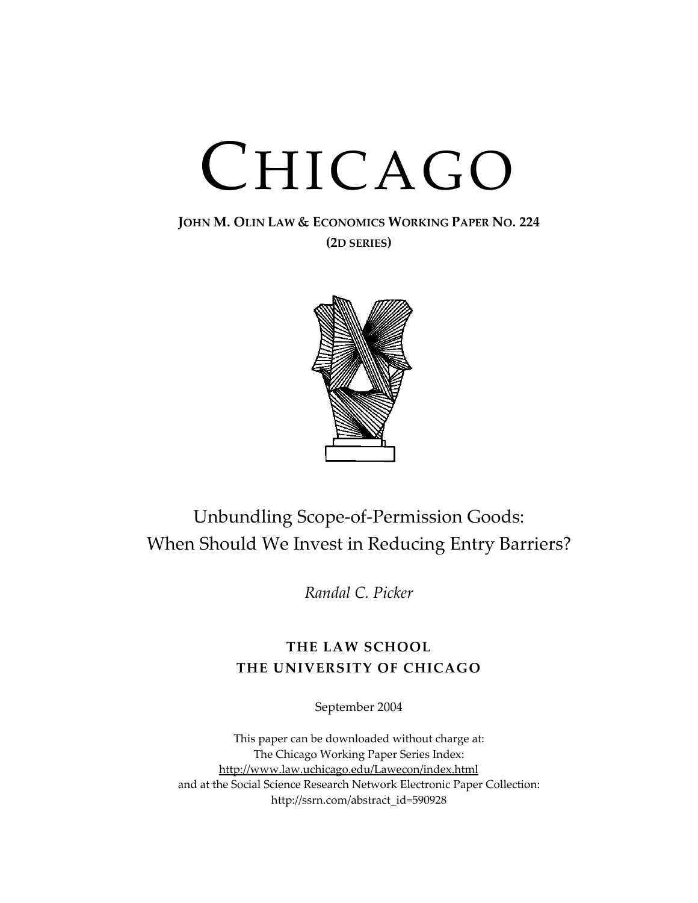# CHICAGO

**JOHN M. OLIN LAW & ECONOMICS WORKING PAPER NO. 224 (2D SERIES)**



# Unbundling Scope-of-Permission Goods: When Should We Invest in Reducing Entry Barriers?

*Randal C. Picker*

## **THE LAW SCHOOL THE UNIVERSITY OF CHICAGO**

September 2004

This paper can be downloaded without charge at: The Chicago Working Paper Series Index: <http://www.law.uchicago.edu/Lawecon/index.html> and at the Social Science Research Network Electronic Paper Collection: [http://ssrn.com/abstract\\_id=590928](http://papers.ssrn.com/sol3/search.taf)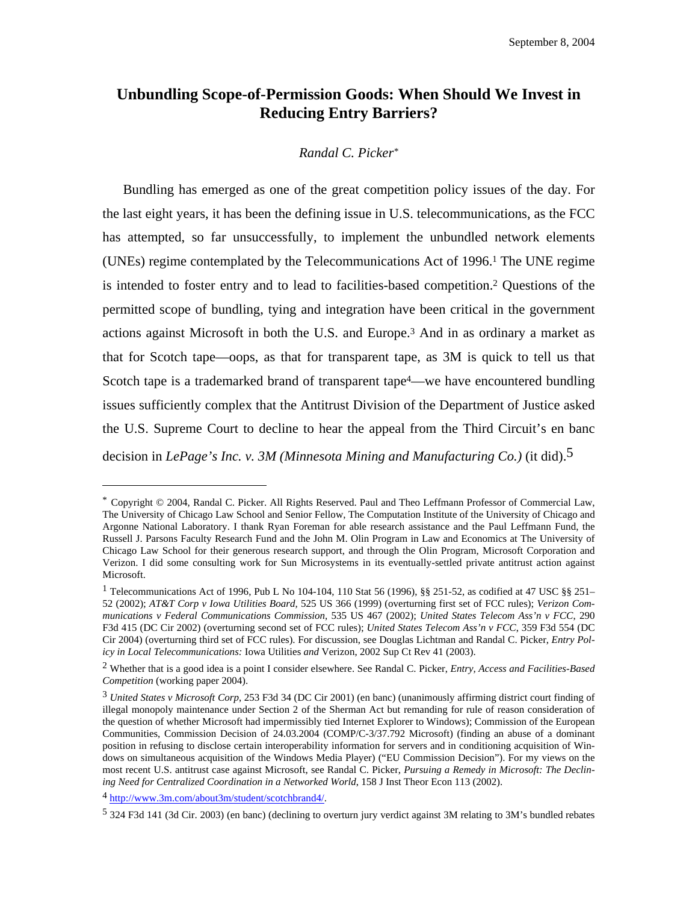### <span id="page-3-5"></span>**Unbundling Scope-of-Permission Goods: When Should We Invest in Reducing Entry Barriers?**

#### *Randal C. Picke[r\\*](#page-3-0)*

Bundling has emerged as one of the great competition policy issues of the day. For the last eight years, it has been the defining issue in U.S. telecommunications, as the FCC has attempted, so far unsuccessfully, to implement the unbundled network elements (UNEs) regime contemplated by the Telecommunications Act of 1996[.1](#page-3-1) The UNE regime is intended to foster entry and to lead to facilities-based competition.[2](#page-3-2) Questions of the permitted scope of bundling, tying and integration have been critical in the government actions against Microsoft in both the U.S. and Europe[.3](#page-3-3) And in as ordinary a market as that for Scotch tape—oops, as that for transparent tape, as 3M is quick to tell us that Scotch tape is a trademarked brand of transparent tape<sup>4</sup>—we have encountered bundling issues sufficiently complex that the Antitrust Division of the Department of Justice asked the U.S. Supreme Court to decline to hear the appeal from the Third Circuit's en banc decision in *LePage's Inc. v. 3M (Minnesota Mining and Manufacturing Co.)* (it did)[.5](#page-3-5)

<span id="page-3-0"></span><sup>\*</sup> Copyright © 2004, Randal C. Picker. All Rights Reserved. Paul and Theo Leffmann Professor of Commercial Law, The University of Chicago Law School and Senior Fellow, The Computation Institute of the University of Chicago and Argonne National Laboratory. I thank Ryan Foreman for able research assistance and the Paul Leffmann Fund, the Russell J. Parsons Faculty Research Fund and the John M. Olin Program in Law and Economics at The University of Chicago Law School for their generous research support, and through the Olin Program, Microsoft Corporation and Verizon. I did some consulting work for Sun Microsystems in its eventually-settled private antitrust action against Microsoft.

<span id="page-3-1"></span><sup>1</sup> Telecommunications Act of 1996, Pub L No 104-104, 110 Stat 56 (1996), §§ 251-52, as codified at 47 USC §§ 251– 52 (2002); *AT&T Corp v Iowa Utilities Board,* 525 US 366 (1999) (overturning first set of FCC rules); *Verizon Communications v Federal Communications Commission,* 535 US 467 (2002); *United States Telecom Ass'n v FCC*, 290 F3d 415 (DC Cir 2002) (overturning second set of FCC rules); *United States Telecom Ass'n v FCC*, 359 F3d 554 (DC Cir 2004) (overturning third set of FCC rules). For discussion, see Douglas Lichtman and Randal C. Picker, *Entry Policy in Local Telecommunications:* Iowa Utilities *and* Verizon, 2002 Sup Ct Rev 41 (2003).

<span id="page-3-2"></span><sup>2</sup> Whether that is a good idea is a point I consider elsewhere. See Randal C. Picker, *Entry, Access and Facilities-Based Competition* (working paper 2004).

<span id="page-3-3"></span><sup>3</sup> *United States v Microsoft Corp*, 253 F3d 34 (DC Cir 2001) (en banc) (unanimously affirming district court finding of illegal monopoly maintenance under Section 2 of the Sherman Act but remanding for rule of reason consideration of the question of whether Microsoft had impermissibly tied Internet Explorer to Windows); Commission of the European Communities, Commission Decision of 24.03.2004 (COMP/C-3/37.792 Microsoft) (finding an abuse of a dominant position in refusing to disclose certain interoperability information for servers and in conditioning acquisition of Windows on simultaneous acquisition of the Windows Media Player) ("EU Commission Decision"). For my views on the most recent U.S. antitrust case against Microsoft, see Randal C. Picker, *Pursuing a Remedy in Microsoft: The Declining Need for Centralized Coordination in a Networked World*, 158 J Inst Theor Econ 113 (2002).

<span id="page-3-4"></span><sup>4</sup> [http://www.3m.com/about3m/student/scotchbrand4/.](http://www.3m.com/about3m/student/scotchbrand4/)

<sup>5 324</sup> F3d 141 (3d Cir. 2003) (en banc) (declining to overturn jury verdict against 3M relating to 3M's bundled rebates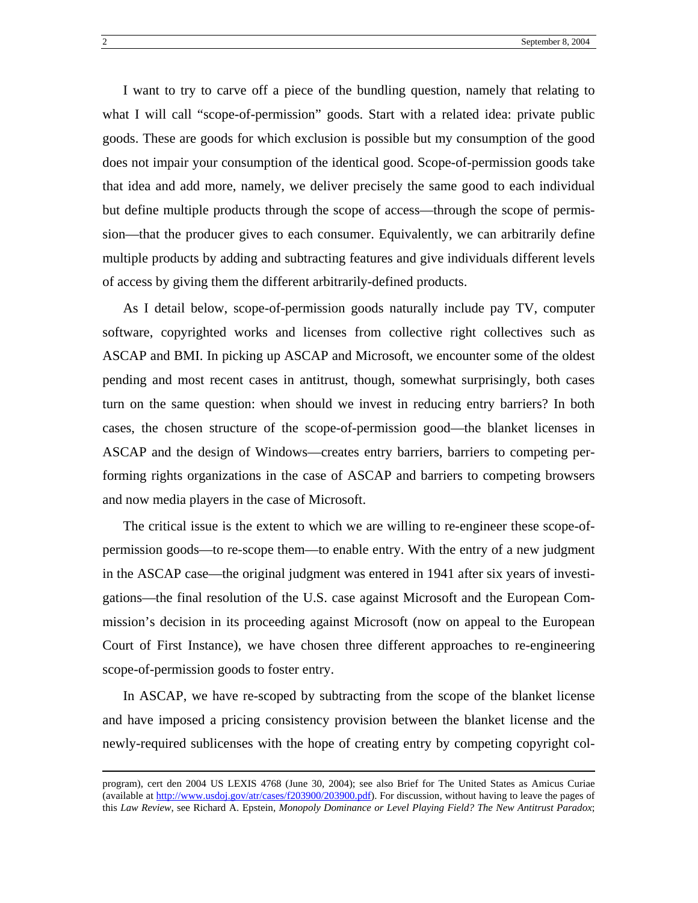I want to try to carve off a piece of the bundling question, namely that relating to what I will call "scope-of-permission" goods. Start with a related idea: private public goods. These are goods for which exclusion is possible but my consumption of the good does not impair your consumption of the identical good. Scope-of-permission goods take that idea and add more, namely, we deliver precisely the same good to each individual but define multiple products through the scope of access—through the scope of permission—that the producer gives to each consumer. Equivalently, we can arbitrarily define multiple products by adding and subtracting features and give individuals different levels of access by giving them the different arbitrarily-defined products.

As I detail below, scope-of-permission goods naturally include pay TV, computer software, copyrighted works and licenses from collective right collectives such as ASCAP and BMI. In picking up ASCAP and Microsoft, we encounter some of the oldest pending and most recent cases in antitrust, though, somewhat surprisingly, both cases turn on the same question: when should we invest in reducing entry barriers? In both cases, the chosen structure of the scope-of-permission good—the blanket licenses in ASCAP and the design of Windows—creates entry barriers, barriers to competing performing rights organizations in the case of ASCAP and barriers to competing browsers and now media players in the case of Microsoft.

The critical issue is the extent to which we are willing to re-engineer these scope-ofpermission goods—to re-scope them—to enable entry. With the entry of a new judgment in the ASCAP case—the original judgment was entered in 1941 after six years of investigations—the final resolution of the U.S. case against Microsoft and the European Commission's decision in its proceeding against Microsoft (now on appeal to the European Court of First Instance), we have chosen three different approaches to re-engineering scope-of-permission goods to foster entry.

In ASCAP, we have re-scoped by subtracting from the scope of the blanket license and have imposed a pricing consistency provision between the blanket license and the newly-required sublicenses with the hope of creating entry by competing copyright col-

program), cert den 2004 US LEXIS 4768 (June 30, 2004); see also Brief for The United States as Amicus Curiae (available at [http://www.usdoj.gov/atr/cases/f203900/203900.pdf\)](http://www.usdoj.gov/atr/cases/f203900/203900.pdf). For discussion, without having to leave the pages of this *Law Review*, see Richard A. Epstein, *Monopoly Dominance or Level Playing Field? The New Antitrust Paradox*;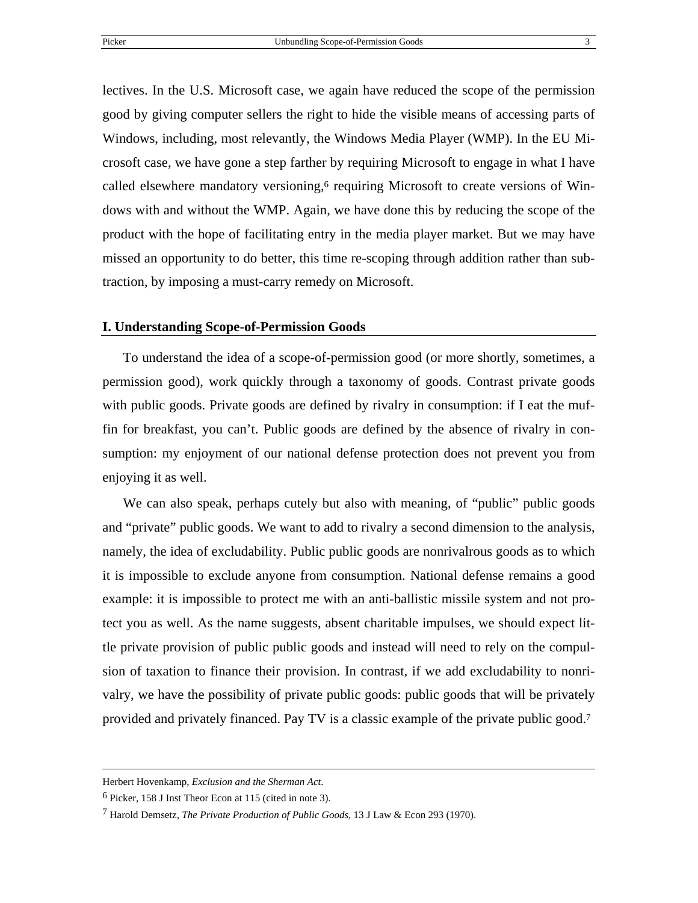lectives. In the U.S. Microsoft case, we again have reduced the scope of the permission good by giving computer sellers the right to hide the visible means of accessing parts of Windows, including, most relevantly, the Windows Media Player (WMP). In the EU Microsoft case, we have gone a step farther by requiring Microsoft to engage in what I have called elsewhere mandatory versioning,<sup> $6$ </sup> requiring Microsoft to create versions of Windows with and without the WMP. Again, we have done this by reducing the scope of the product with the hope of facilitating entry in the media player market. But we may have missed an opportunity to do better, this time re-scoping through addition rather than subtraction, by imposing a must-carry remedy on Microsoft.

#### **I. Understanding Scope-of-Permission Goods**

To understand the idea of a scope-of-permission good (or more shortly, sometimes, a permission good), work quickly through a taxonomy of goods. Contrast private goods with public goods. Private goods are defined by rivalry in consumption: if I eat the muffin for breakfast, you can't. Public goods are defined by the absence of rivalry in consumption: my enjoyment of our national defense protection does not prevent you from enjoying it as well.

We can also speak, perhaps cutely but also with meaning, of "public" public goods and "private" public goods. We want to add to rivalry a second dimension to the analysis, namely, the idea of excludability. Public public goods are nonrivalrous goods as to which it is impossible to exclude anyone from consumption. National defense remains a good example: it is impossible to protect me with an anti-ballistic missile system and not protect you as well. As the name suggests, absent charitable impulses, we should expect little private provision of public public goods and instead will need to rely on the compulsion of taxation to finance their provision. In contrast, if we add excludability to nonrivalry, we have the possibility of private public goods: public goods that will be privately provided and privately financed. Pay TV is a classic example of the private public good.[7](#page-5-1)

Herbert Hovenkamp, *Exclusion and the Sherman Act*.

<span id="page-5-0"></span><sup>6</sup> Picker, 158 J Inst Theor Econ at 115 (cited in note 3).

<span id="page-5-1"></span><sup>7</sup> Harold Demsetz, *The Private Production of Public Goods*, 13 J Law & Econ 293 (1970).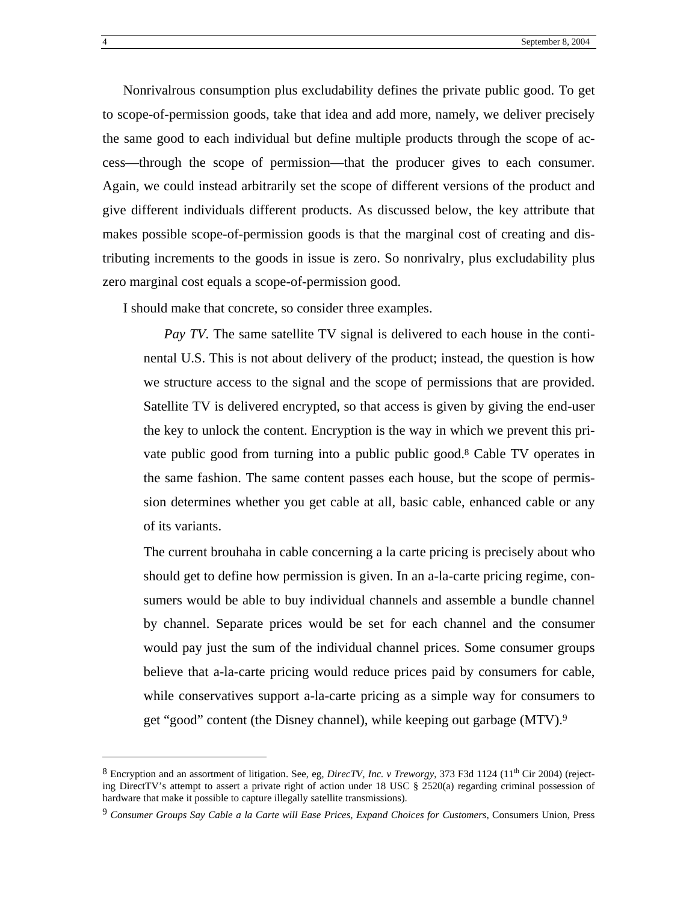<span id="page-6-1"></span>Nonrivalrous consumption plus excludability defines the private public good. To get to scope-of-permission goods, take that idea and add more, namely, we deliver precisely the same good to each individual but define multiple products through the scope of access—through the scope of permission—that the producer gives to each consumer. Again, we could instead arbitrarily set the scope of different versions of the product and give different individuals different products. As discussed below, the key attribute that makes possible scope-of-permission goods is that the marginal cost of creating and distributing increments to the goods in issue is zero. So nonrivalry, plus excludability plus zero marginal cost equals a scope-of-permission good.

I should make that concrete, so consider three examples.

*Pay TV*. The same satellite TV signal is delivered to each house in the continental U.S. This is not about delivery of the product; instead, the question is how we structure access to the signal and the scope of permissions that are provided. Satellite TV is delivered encrypted, so that access is given by giving the end-user the key to unlock the content. Encryption is the way in which we prevent this private public good from turning into a public public good[.8](#page-6-0) Cable TV operates in the same fashion. The same content passes each house, but the scope of permission determines whether you get cable at all, basic cable, enhanced cable or any of its variants.

The current brouhaha in cable concerning a la carte pricing is precisely about who should get to define how permission is given. In an a-la-carte pricing regime, consumers would be able to buy individual channels and assemble a bundle channel by channel. Separate prices would be set for each channel and the consumer would pay just the sum of the individual channel prices. Some consumer groups believe that a-la-carte pricing would reduce prices paid by consumers for cable, while conservatives support a-la-carte pricing as a simple way for consumers to get "good" content (the Disney channel), while keeping out garbage (MTV).[9](#page-6-1)

<span id="page-6-0"></span> $8$  Encryption and an assortment of litigation. See, eg, *DirecTV, Inc. v Treworgy*, 373 F3d 1124 (11<sup>th</sup> Cir 2004) (rejecting DirectTV's attempt to assert a private right of action under 18 USC § 2520(a) regarding criminal possession of hardware that make it possible to capture illegally satellite transmissions).

<sup>9</sup> *Consumer Groups Say Cable a la Carte will Ease Prices, Expand Choices for Customers*, Consumers Union, Press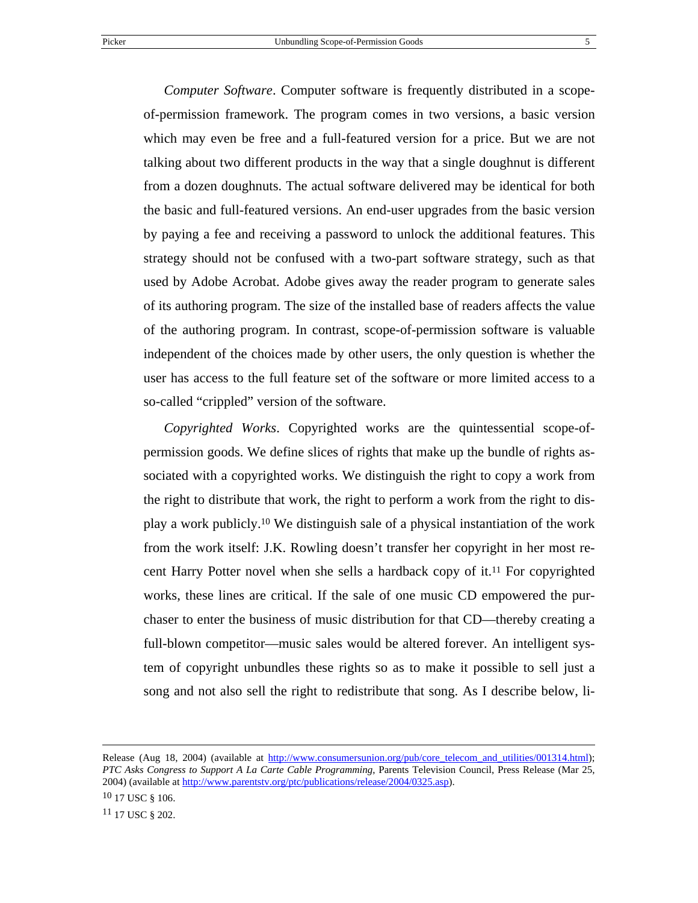*Computer Software*. Computer software is frequently distributed in a scopeof-permission framework. The program comes in two versions, a basic version which may even be free and a full-featured version for a price. But we are not talking about two different products in the way that a single doughnut is different from a dozen doughnuts. The actual software delivered may be identical for both the basic and full-featured versions. An end-user upgrades from the basic version by paying a fee and receiving a password to unlock the additional features. This strategy should not be confused with a two-part software strategy, such as that used by Adobe Acrobat. Adobe gives away the reader program to generate sales of its authoring program. The size of the installed base of readers affects the value of the authoring program. In contrast, scope-of-permission software is valuable independent of the choices made by other users, the only question is whether the user has access to the full feature set of the software or more limited access to a so-called "crippled" version of the software.

*Copyrighted Works*. Copyrighted works are the quintessential scope-ofpermission goods. We define slices of rights that make up the bundle of rights associated with a copyrighted works. We distinguish the right to copy a work from the right to distribute that work, the right to perform a work from the right to display a work publicly[.10](#page-7-0) We distinguish sale of a physical instantiation of the work from the work itself: J.K. Rowling doesn't transfer her copyright in her most recent Harry Potter novel when she sells a hardback copy of it[.11](#page-7-1) For copyrighted works, these lines are critical. If the sale of one music CD empowered the purchaser to enter the business of music distribution for that CD—thereby creating a full-blown competitor—music sales would be altered forever. An intelligent system of copyright unbundles these rights so as to make it possible to sell just a song and not also sell the right to redistribute that song. As I describe below, li-

<span id="page-7-0"></span> $10$  17 USC § 106.

Release (Aug 18, 2004) (available at [http://www.consumersunion.org/pub/core\\_telecom\\_and\\_utilities/001314.html](http://www.consumersunion.org/pub/core_telecom_and_utilities/001314.html)); *PTC Asks Congress to Support A La Carte Cable Programming*, Parents Television Council, Press Release (Mar 25, 2004) (available at http://www.parentsty.org/ptc/publications/release/2004/0325.asp).

<span id="page-7-1"></span><sup>11 17</sup> USC § 202.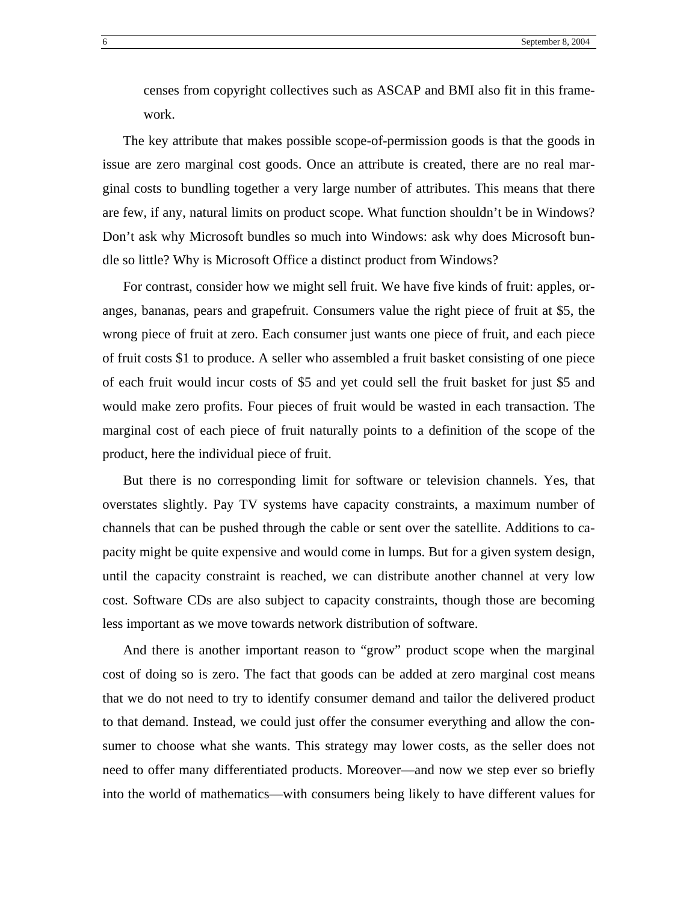censes from copyright collectives such as ASCAP and BMI also fit in this framework.

The key attribute that makes possible scope-of-permission goods is that the goods in issue are zero marginal cost goods. Once an attribute is created, there are no real marginal costs to bundling together a very large number of attributes. This means that there are few, if any, natural limits on product scope. What function shouldn't be in Windows? Don't ask why Microsoft bundles so much into Windows: ask why does Microsoft bundle so little? Why is Microsoft Office a distinct product from Windows?

For contrast, consider how we might sell fruit. We have five kinds of fruit: apples, oranges, bananas, pears and grapefruit. Consumers value the right piece of fruit at \$5, the wrong piece of fruit at zero. Each consumer just wants one piece of fruit, and each piece of fruit costs \$1 to produce. A seller who assembled a fruit basket consisting of one piece of each fruit would incur costs of \$5 and yet could sell the fruit basket for just \$5 and would make zero profits. Four pieces of fruit would be wasted in each transaction. The marginal cost of each piece of fruit naturally points to a definition of the scope of the product, here the individual piece of fruit.

But there is no corresponding limit for software or television channels. Yes, that overstates slightly. Pay TV systems have capacity constraints, a maximum number of channels that can be pushed through the cable or sent over the satellite. Additions to capacity might be quite expensive and would come in lumps. But for a given system design, until the capacity constraint is reached, we can distribute another channel at very low cost. Software CDs are also subject to capacity constraints, though those are becoming less important as we move towards network distribution of software.

And there is another important reason to "grow" product scope when the marginal cost of doing so is zero. The fact that goods can be added at zero marginal cost means that we do not need to try to identify consumer demand and tailor the delivered product to that demand. Instead, we could just offer the consumer everything and allow the consumer to choose what she wants. This strategy may lower costs, as the seller does not need to offer many differentiated products. Moreover—and now we step ever so briefly into the world of mathematics—with consumers being likely to have different values for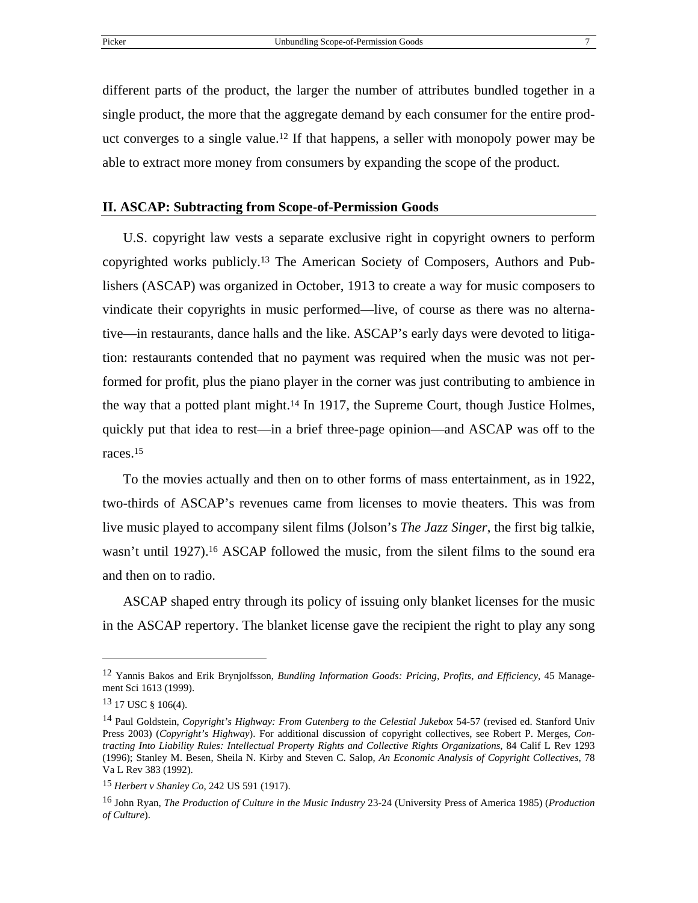different parts of the product, the larger the number of attributes bundled together in a single product, the more that the aggregate demand by each consumer for the entire product converges to a single value.[12](#page-9-0) If that happens, a seller with monopoly power may be able to extract more money from consumers by expanding the scope of the product.

#### **II. ASCAP: Subtracting from Scope-of-Permission Goods**

U.S. copyright law vests a separate exclusive right in copyright owners to perform copyrighted works publicly.[13](#page-9-1) The American Society of Composers, Authors and Publishers (ASCAP) was organized in October, 1913 to create a way for music composers to vindicate their copyrights in music performed—live, of course as there was no alternative—in restaurants, dance halls and the like. ASCAP's early days were devoted to litigation: restaurants contended that no payment was required when the music was not performed for profit, plus the piano player in the corner was just contributing to ambience in the way that a potted plant might[.14](#page-9-2) In 1917, the Supreme Court, though Justice Holmes, quickly put that idea to rest—in a brief three-page opinion—and ASCAP was off to the races.[15](#page-9-3)

To the movies actually and then on to other forms of mass entertainment, as in 1922, two-thirds of ASCAP's revenues came from licenses to movie theaters. This was from live music played to accompany silent films (Jolson's *The Jazz Singer*, the first big talkie, wasn't until 1927).<sup>16</sup> ASCAP followed the music, from the silent films to the sound era and then on to radio.

ASCAP shaped entry through its policy of issuing only blanket licenses for the music in the ASCAP repertory. The blanket license gave the recipient the right to play any song

<span id="page-9-0"></span><sup>12</sup> Yannis Bakos and Erik Brynjolfsson, *Bundling Information Goods: Pricing, Profits, and Efficiency*, 45 Management Sci 1613 (1999).

<span id="page-9-1"></span><sup>13 17</sup> USC § 106(4).

<span id="page-9-2"></span><sup>14</sup> Paul Goldstein, *Copyright's Highway: From Gutenberg to the Celestial Jukebox* 54-57 (revised ed. Stanford Univ Press 2003) (*Copyright's Highway*). For additional discussion of copyright collectives, see Robert P. Merges, *Contracting Into Liability Rules: Intellectual Property Rights and Collective Rights Organizations*, 84 Calif L Rev 1293 (1996); Stanley M. Besen, Sheila N. Kirby and Steven C. Salop, *An Economic Analysis of Copyright Collectives*, 78 Va L Rev 383 (1992).

<span id="page-9-3"></span><sup>15</sup> *Herbert v Shanley Co*, 242 US 591 (1917).

<span id="page-9-4"></span><sup>16</sup> John Ryan, *The Production of Culture in the Music Industry* 23-24 (University Press of America 1985) (*Production of Culture*).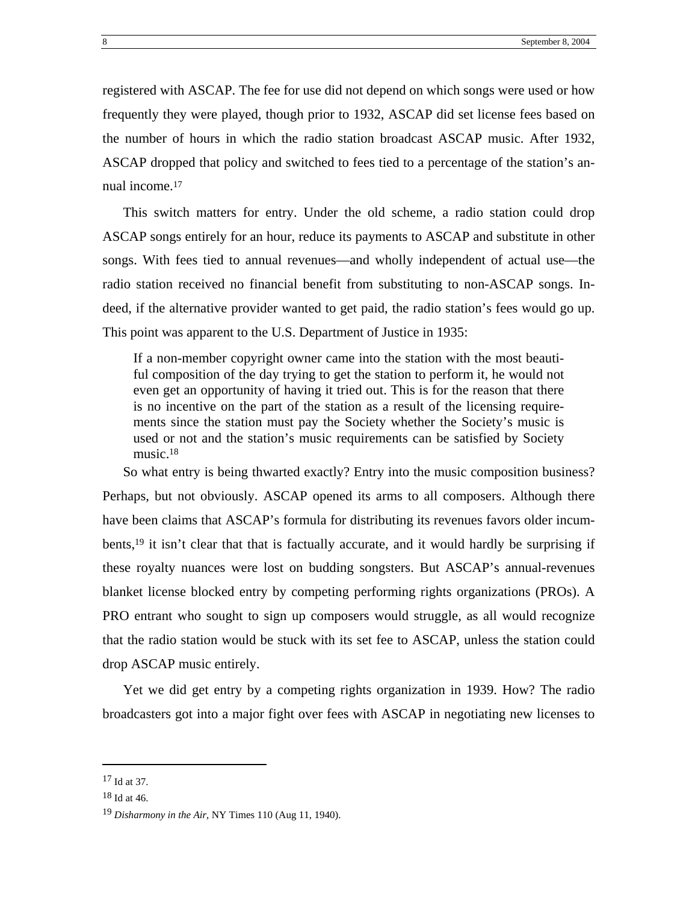registered with ASCAP. The fee for use did not depend on which songs were used or how frequently they were played, though prior to 1932, ASCAP did set license fees based on the number of hours in which the radio station broadcast ASCAP music. After 1932, ASCAP dropped that policy and switched to fees tied to a percentage of the station's annual income[.17](#page-10-0)

This switch matters for entry. Under the old scheme, a radio station could drop ASCAP songs entirely for an hour, reduce its payments to ASCAP and substitute in other songs. With fees tied to annual revenues—and wholly independent of actual use—the radio station received no financial benefit from substituting to non-ASCAP songs. Indeed, if the alternative provider wanted to get paid, the radio station's fees would go up. This point was apparent to the U.S. Department of Justice in 1935:

If a non-member copyright owner came into the station with the most beautiful composition of the day trying to get the station to perform it, he would not even get an opportunity of having it tried out. This is for the reason that there is no incentive on the part of the station as a result of the licensing requirements since the station must pay the Society whether the Society's music is used or not and the station's music requirements can be satisfied by Society music.[18](#page-10-1)

So what entry is being thwarted exactly? Entry into the music composition business? Perhaps, but not obviously. ASCAP opened its arms to all composers. Although there have been claims that ASCAP's formula for distributing its revenues favors older incumbents,[19](#page-10-2) it isn't clear that that is factually accurate, and it would hardly be surprising if these royalty nuances were lost on budding songsters. But ASCAP's annual-revenues blanket license blocked entry by competing performing rights organizations (PROs). A PRO entrant who sought to sign up composers would struggle, as all would recognize that the radio station would be stuck with its set fee to ASCAP, unless the station could drop ASCAP music entirely.

Yet we did get entry by a competing rights organization in 1939. How? The radio broadcasters got into a major fight over fees with ASCAP in negotiating new licenses to

<span id="page-10-0"></span><sup>17</sup> Id at 37.

<span id="page-10-1"></span><sup>18</sup> Id at 46.

<span id="page-10-2"></span><sup>19</sup> *Disharmony in the Air*, NY Times 110 (Aug 11, 1940).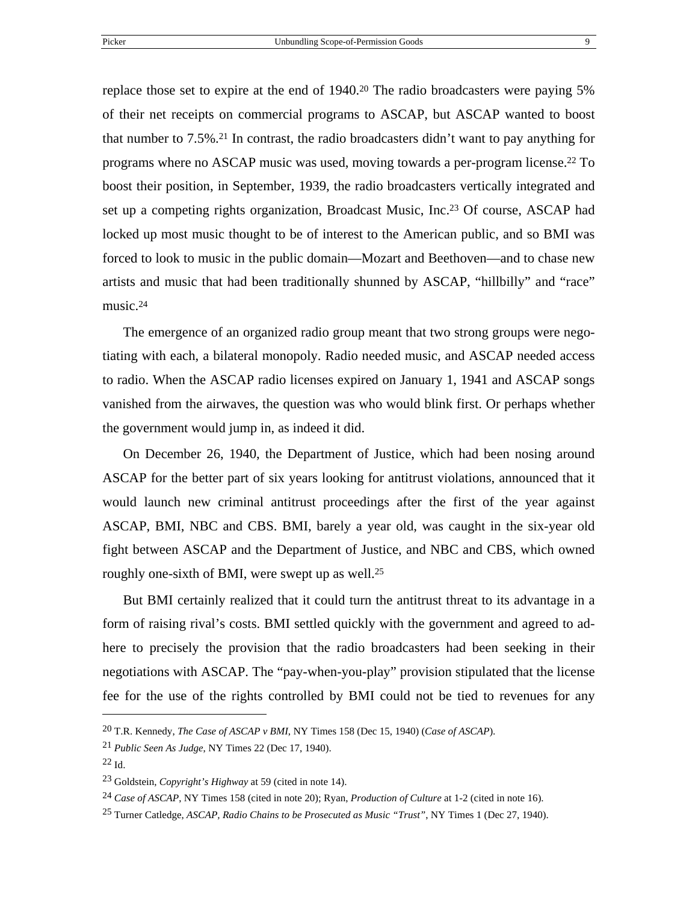replace those set to expire at the end of 1940[.20](#page-11-0) The radio broadcasters were paying 5% of their net receipts on commercial programs to ASCAP, but ASCAP wanted to boost that number to  $7.5\%$ <sup>21</sup>. In contrast, the radio broadcasters didn't want to pay anything for programs where no ASCAP music was used, moving towards a per-program license[.22](#page-11-2) To boost their position, in September, 1939, the radio broadcasters vertically integrated and set up a competing rights organization, Broadcast Music, Inc.[23](#page-11-3) Of course, ASCAP had locked up most music thought to be of interest to the American public, and so BMI was forced to look to music in the public domain—Mozart and Beethoven—and to chase new artists and music that had been traditionally shunned by ASCAP, "hillbilly" and "race" music.<sup>[24](#page-11-4)</sup>

The emergence of an organized radio group meant that two strong groups were negotiating with each, a bilateral monopoly. Radio needed music, and ASCAP needed access to radio. When the ASCAP radio licenses expired on January 1, 1941 and ASCAP songs vanished from the airwaves, the question was who would blink first. Or perhaps whether the government would jump in, as indeed it did.

On December 26, 1940, the Department of Justice, which had been nosing around ASCAP for the better part of six years looking for antitrust violations, announced that it would launch new criminal antitrust proceedings after the first of the year against ASCAP, BMI, NBC and CBS. BMI, barely a year old, was caught in the six-year old fight between ASCAP and the Department of Justice, and NBC and CBS, which owned roughly one-sixth of BMI, were swept up as well.[25](#page-11-5)

But BMI certainly realized that it could turn the antitrust threat to its advantage in a form of raising rival's costs. BMI settled quickly with the government and agreed to adhere to precisely the provision that the radio broadcasters had been seeking in their negotiations with ASCAP. The "pay-when-you-play" provision stipulated that the license fee for the use of the rights controlled by BMI could not be tied to revenues for any

<span id="page-11-0"></span><sup>20</sup> T.R. Kennedy, *The Case of ASCAP v BMI*, NY Times 158 (Dec 15, 1940) (*Case of ASCAP*).

<span id="page-11-1"></span><sup>21</sup> *Public Seen As Judge*, NY Times 22 (Dec 17, 1940).

<span id="page-11-2"></span> $22$  Id.

<span id="page-11-3"></span><sup>23</sup> Goldstein, *Copyright's Highway* at 59 (cited in note 14).

<span id="page-11-4"></span><sup>24</sup> *Case of ASCAP*, NY Times 158 (cited in note 20); Ryan, *Production of Culture* at 1-2 (cited in note 16).

<span id="page-11-5"></span><sup>25</sup> Turner Catledge, *ASCAP, Radio Chains to be Prosecuted as Music "Trust"*, NY Times 1 (Dec 27, 1940).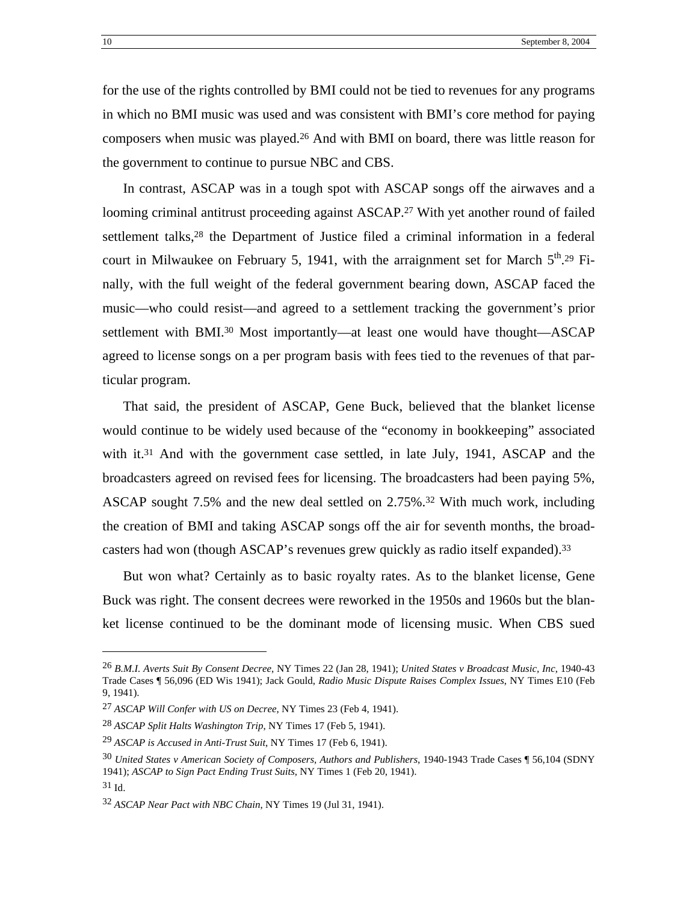for the use of the rights controlled by BMI could not be tied to revenues for any programs in which no BMI music was used and was consistent with BMI's core method for paying composers when music was played[.26](#page-12-0) And with BMI on board, there was little reason for the government to continue to pursue NBC and CBS.

In contrast, ASCAP was in a tough spot with ASCAP songs off the airwaves and a looming criminal antitrust proceeding against ASCAP.<sup>27</sup> With yet another round of failed settlement talks[,28](#page-12-2) the Department of Justice filed a criminal information in a federal court in Milwaukee on February 5, 1941, with the arraignment set for March  $5<sup>th</sup>$ .<sup>29</sup> Finally, with the full weight of the federal government bearing down, ASCAP faced the music—who could resist—and agreed to a settlement tracking the government's prior settlement with BMI.<sup>30</sup> Most importantly—at least one would have thought—ASCAP agreed to license songs on a per program basis with fees tied to the revenues of that particular program.

That said, the president of ASCAP, Gene Buck, believed that the blanket license would continue to be widely used because of the "economy in bookkeeping" associated with it.<sup>31</sup> And with the government case settled, in late July,  $1941$ , ASCAP and the broadcasters agreed on revised fees for licensing. The broadcasters had been paying 5%, ASCAP sought 7.5% and the new deal settled on 2.75%.[32](#page-12-6) With much work, including the creation of BMI and taking ASCAP songs off the air for seventh months, the broadcasters had won (though ASCAP's revenues grew quickly as radio itself expanded).[33](#page-12-7)

But won what? Certainly as to basic royalty rates. As to the blanket license, Gene Buck was right. The consent decrees were reworked in the 1950s and 1960s but the blanket license continued to be the dominant mode of licensing music. When CBS sued

<span id="page-12-0"></span><sup>26</sup> *B.M.I. Averts Suit By Consent Decree*, NY Times 22 (Jan 28, 1941); *United States v Broadcast Music, Inc*, 1940-43 Trade Cases ¶ 56,096 (ED Wis 1941); Jack Gould, *Radio Music Dispute Raises Complex Issues*, NY Times E10 (Feb 9, 1941).

<span id="page-12-1"></span><sup>27</sup> *ASCAP Will Confer with US on Decree*, NY Times 23 (Feb 4, 1941).

<span id="page-12-7"></span><span id="page-12-2"></span><sup>28</sup> *ASCAP Split Halts Washington Trip*, NY Times 17 (Feb 5, 1941).

<span id="page-12-3"></span><sup>29</sup> *ASCAP is Accused in Anti-Trust Suit*, NY Times 17 (Feb 6, 1941).

<span id="page-12-4"></span><sup>30</sup> *United States v American Society of Composers, Authors and Publishers*, 1940-1943 Trade Cases ¶ 56,104 (SDNY 1941); *ASCAP to Sign Pact Ending Trust Suits*, NY Times 1 (Feb 20, 1941).

<span id="page-12-5"></span> $31$  Id.

<span id="page-12-6"></span><sup>32</sup> *ASCAP Near Pact with NBC Chain*, NY Times 19 (Jul 31, 1941).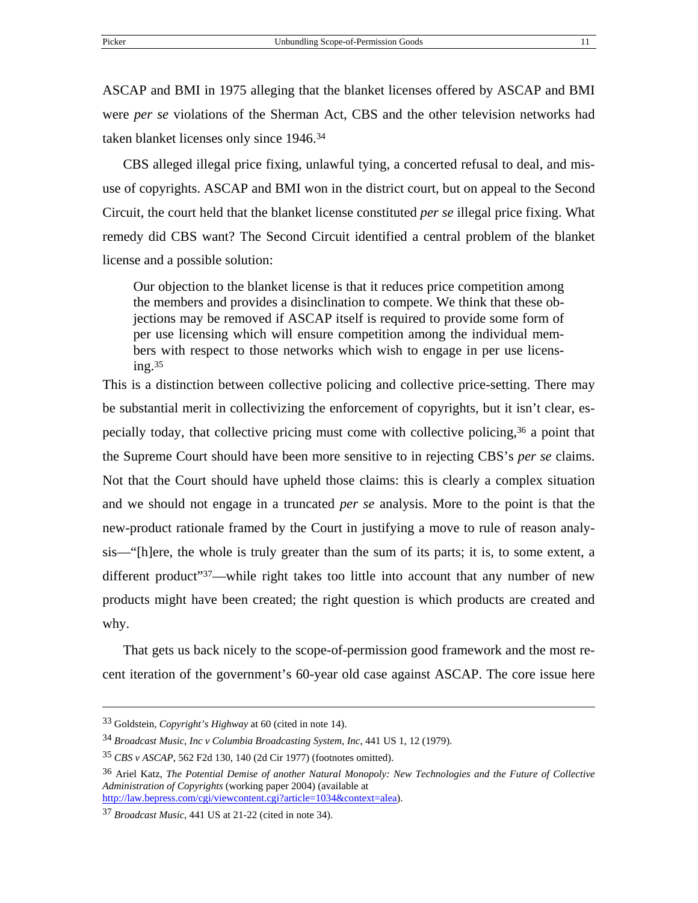ASCAP and BMI in 1975 alleging that the blanket licenses offered by ASCAP and BMI were *per se* violations of the Sherman Act, CBS and the other television networks had taken blanket licenses only since 1946.[34](#page-13-0)

CBS alleged illegal price fixing, unlawful tying, a concerted refusal to deal, and misuse of copyrights. ASCAP and BMI won in the district court, but on appeal to the Second Circuit, the court held that the blanket license constituted *per se* illegal price fixing. What remedy did CBS want? The Second Circuit identified a central problem of the blanket license and a possible solution:

Our objection to the blanket license is that it reduces price competition among the members and provides a disinclination to compete. We think that these objections may be removed if ASCAP itself is required to provide some form of per use licensing which will ensure competition among the individual members with respect to those networks which wish to engage in per use licens $ing.<sup>35</sup>$ 

This is a distinction between collective policing and collective price-setting. There may be substantial merit in collectivizing the enforcement of copyrights, but it isn't clear, especially today, that collective pricing must come with collective policing,[36](#page-13-2) a point that the Supreme Court should have been more sensitive to in rejecting CBS's *per se* claims. Not that the Court should have upheld those claims: this is clearly a complex situation and we should not engage in a truncated *per se* analysis. More to the point is that the new-product rationale framed by the Court in justifying a move to rule of reason analysis—"[h]ere, the whole is truly greater than the sum of its parts; it is, to some extent, a different product"[37—](#page-13-3)while right takes too little into account that any number of new products might have been created; the right question is which products are created and why.

That gets us back nicely to the scope-of-permission good framework and the most recent iteration of the government's 60-year old case against ASCAP. The core issue here

<sup>33</sup> Goldstein, *Copyright's Highway* at 60 (cited in note 14).

<span id="page-13-0"></span><sup>34</sup> *Broadcast Music, Inc v Columbia Broadcasting System, Inc*, 441 US 1, 12 (1979).

<span id="page-13-1"></span><sup>35</sup> *CBS v ASCAP*, 562 F2d 130, 140 (2d Cir 1977) (footnotes omitted).

<span id="page-13-2"></span><sup>36</sup> Ariel Katz, *The Potential Demise of another Natural Monopoly: New Technologies and the Future of Collective Administration of Copyrights* (working paper 2004) (available at <http://law.bepress.com/cgi/viewcontent.cgi?article=1034&context=alea>).

<span id="page-13-3"></span><sup>37</sup> *Broadcast Music*, 441 US at 21-22 (cited in note 34).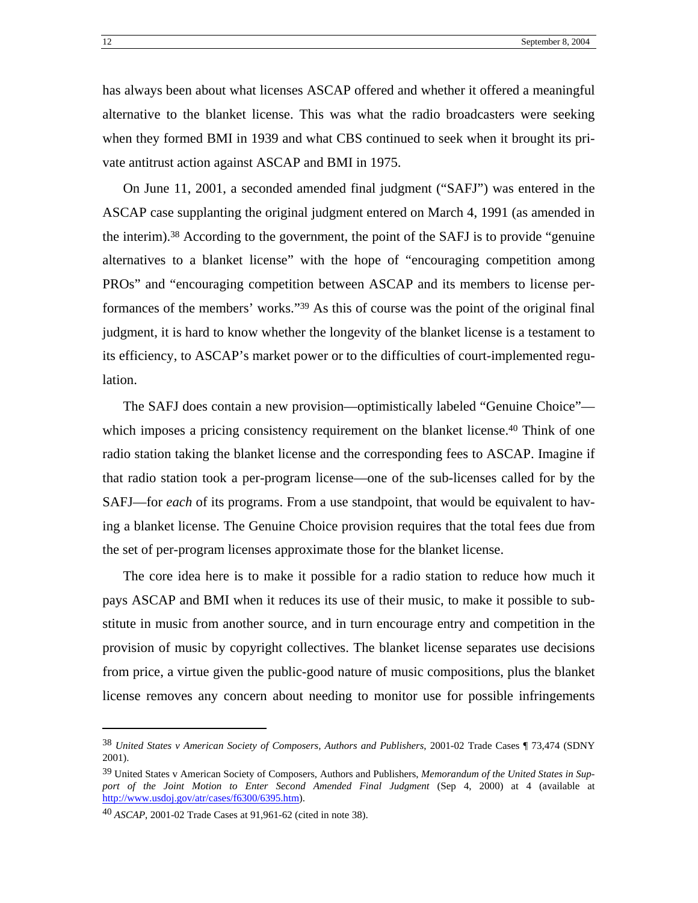has always been about what licenses ASCAP offered and whether it offered a meaningful alternative to the blanket license. This was what the radio broadcasters were seeking when they formed BMI in 1939 and what CBS continued to seek when it brought its private antitrust action against ASCAP and BMI in 1975.

On June 11, 2001, a seconded amended final judgment ("SAFJ") was entered in the ASCAP case supplanting the original judgment entered on March 4, 1991 (as amended in the interim)[.38](#page-14-0) According to the government, the point of the SAFJ is to provide "genuine alternatives to a blanket license" with the hope of "encouraging competition among PROs" and "encouraging competition between ASCAP and its members to license performances of the members' works.["39](#page-14-1) As this of course was the point of the original final judgment, it is hard to know whether the longevity of the blanket license is a testament to its efficiency, to ASCAP's market power or to the difficulties of court-implemented regulation.

The SAFJ does contain a new provision—optimistically labeled "Genuine Choice" which imposes a pricing consistency requirement on the blanket license.<sup>40</sup> Think of one radio station taking the blanket license and the corresponding fees to ASCAP. Imagine if that radio station took a per-program license—one of the sub-licenses called for by the SAFJ—for *each* of its programs. From a use standpoint, that would be equivalent to having a blanket license. The Genuine Choice provision requires that the total fees due from the set of per-program licenses approximate those for the blanket license.

The core idea here is to make it possible for a radio station to reduce how much it pays ASCAP and BMI when it reduces its use of their music, to make it possible to substitute in music from another source, and in turn encourage entry and competition in the provision of music by copyright collectives. The blanket license separates use decisions from price, a virtue given the public-good nature of music compositions, plus the blanket license removes any concern about needing to monitor use for possible infringements

<span id="page-14-0"></span><sup>38</sup> *United States v American Society of Composers, Authors and Publishers*, 2001-02 Trade Cases ¶ 73,474 (SDNY 2001).

<span id="page-14-1"></span><sup>39</sup> United States v American Society of Composers, Authors and Publishers, *Memorandum of the United States in Support of the Joint Motion to Enter Second Amended Final Judgment* (Sep 4, 2000) at 4 (available at [http://www.usdoj.gov/atr/cases/f6300/6395.htm\)](http://www.usdoj.gov/atr/cases/f6300/6395.htm).

<span id="page-14-2"></span><sup>40</sup> *ASCAP*, 2001-02 Trade Cases at 91,961-62 (cited in note 38).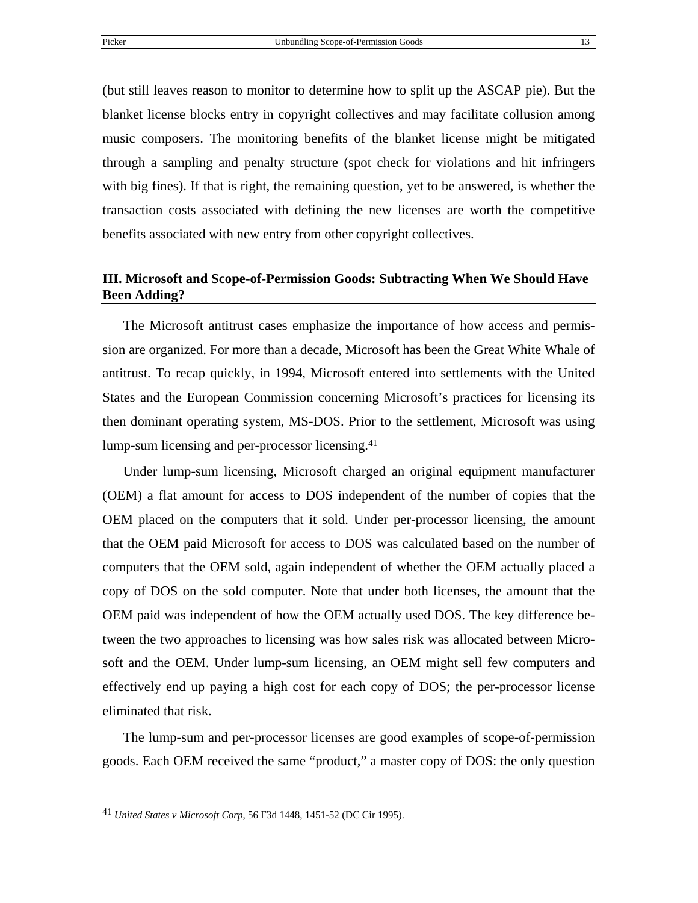(but still leaves reason to monitor to determine how to split up the ASCAP pie). But the blanket license blocks entry in copyright collectives and may facilitate collusion among music composers. The monitoring benefits of the blanket license might be mitigated through a sampling and penalty structure (spot check for violations and hit infringers with big fines). If that is right, the remaining question, yet to be answered, is whether the transaction costs associated with defining the new licenses are worth the competitive benefits associated with new entry from other copyright collectives.

#### **III. Microsoft and Scope-of-Permission Goods: Subtracting When We Should Have Been Adding?**

The Microsoft antitrust cases emphasize the importance of how access and permission are organized. For more than a decade, Microsoft has been the Great White Whale of antitrust. To recap quickly, in 1994, Microsoft entered into settlements with the United States and the European Commission concerning Microsoft's practices for licensing its then dominant operating system, MS-DOS. Prior to the settlement, Microsoft was using lump-sum licensing and per-processor licensing[.41](#page-15-0)

Under lump-sum licensing, Microsoft charged an original equipment manufacturer (OEM) a flat amount for access to DOS independent of the number of copies that the OEM placed on the computers that it sold. Under per-processor licensing, the amount that the OEM paid Microsoft for access to DOS was calculated based on the number of computers that the OEM sold, again independent of whether the OEM actually placed a copy of DOS on the sold computer. Note that under both licenses, the amount that the OEM paid was independent of how the OEM actually used DOS. The key difference between the two approaches to licensing was how sales risk was allocated between Microsoft and the OEM. Under lump-sum licensing, an OEM might sell few computers and effectively end up paying a high cost for each copy of DOS; the per-processor license eliminated that risk.

The lump-sum and per-processor licenses are good examples of scope-of-permission goods. Each OEM received the same "product," a master copy of DOS: the only question

<span id="page-15-0"></span><sup>41</sup> *United States v Microsoft Corp*, 56 F3d 1448, 1451-52 (DC Cir 1995).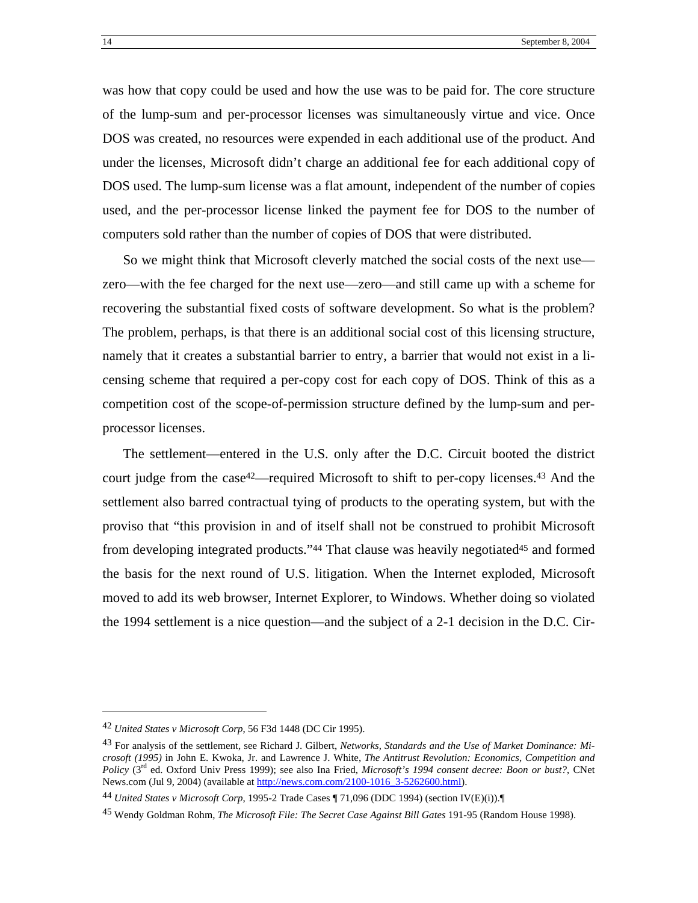was how that copy could be used and how the use was to be paid for. The core structure of the lump-sum and per-processor licenses was simultaneously virtue and vice. Once DOS was created, no resources were expended in each additional use of the product. And under the licenses, Microsoft didn't charge an additional fee for each additional copy of DOS used. The lump-sum license was a flat amount, independent of the number of copies used, and the per-processor license linked the payment fee for DOS to the number of computers sold rather than the number of copies of DOS that were distributed.

So we might think that Microsoft cleverly matched the social costs of the next use zero—with the fee charged for the next use—zero—and still came up with a scheme for recovering the substantial fixed costs of software development. So what is the problem? The problem, perhaps, is that there is an additional social cost of this licensing structure, namely that it creates a substantial barrier to entry, a barrier that would not exist in a licensing scheme that required a per-copy cost for each copy of DOS. Think of this as a competition cost of the scope-of-permission structure defined by the lump-sum and perprocessor licenses.

The settlement—entered in the U.S. only after the D.C. Circuit booted the district court judge from the case<sup>42</sup>—required Microsoft to shift to per-copy licenses.<sup>43</sup> And the settlement also barred contractual tying of products to the operating system, but with the proviso that "this provision in and of itself shall not be construed to prohibit Microsoft from developing integrated products."<sup>44</sup> That clause was heavily negotiated<sup>45</sup> and formed the basis for the next round of U.S. litigation. When the Internet exploded, Microsoft moved to add its web browser, Internet Explorer, to Windows. Whether doing so violated the 1994 settlement is a nice question—and the subject of a 2-1 decision in the D.C. Cir-

<span id="page-16-0"></span><sup>42</sup> *United States v Microsoft Corp*, 56 F3d 1448 (DC Cir 1995).

<span id="page-16-1"></span><sup>43</sup> For analysis of the settlement, see Richard J. Gilbert, *Networks, Standards and the Use of Market Dominance: Microsoft (1995)* in John E. Kwoka, Jr. and Lawrence J. White, *The Antitrust Revolution: Economics, Competition and Policy* (3rd ed. Oxford Univ Press 1999); see also Ina Fried, *Microsoft's 1994 consent decree: Boon or bust?*, CNet News.com (Jul 9, 2004) (available at [http://news.com.com/2100-1016\\_3-5262600.html\)](http://news.com.com/2100-1016_3-5262600.html).

<span id="page-16-2"></span><sup>44</sup> *United States v Microsoft Corp*, 1995-2 Trade Cases ¶ 71,096 (DDC 1994) (section IV(E)(i)).¶

<span id="page-16-3"></span><sup>45</sup> Wendy Goldman Rohm, *The Microsoft File: The Secret Case Against Bill Gates* 191-95 (Random House 1998).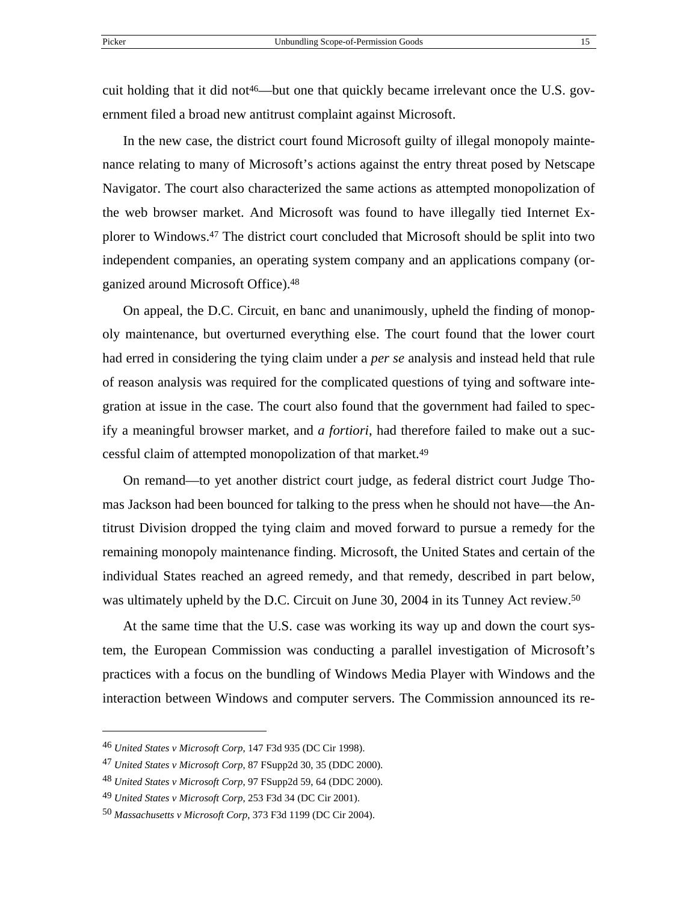cuit holding that it did not<sup>46</sup>—but one that quickly became irrelevant once the U.S. government filed a broad new antitrust complaint against Microsoft.

In the new case, the district court found Microsoft guilty of illegal monopoly maintenance relating to many of Microsoft's actions against the entry threat posed by Netscape Navigator. The court also characterized the same actions as attempted monopolization of the web browser market. And Microsoft was found to have illegally tied Internet Explorer to Windows.[47](#page-17-1) The district court concluded that Microsoft should be split into two independent companies, an operating system company and an applications company (organized around Microsoft Office).[48](#page-17-2)

On appeal, the D.C. Circuit, en banc and unanimously, upheld the finding of monopoly maintenance, but overturned everything else. The court found that the lower court had erred in considering the tying claim under a *per se* analysis and instead held that rule of reason analysis was required for the complicated questions of tying and software integration at issue in the case. The court also found that the government had failed to specify a meaningful browser market, and *a fortiori*, had therefore failed to make out a successful claim of attempted monopolization of that market.[49](#page-17-3)

On remand—to yet another district court judge, as federal district court Judge Thomas Jackson had been bounced for talking to the press when he should not have—the Antitrust Division dropped the tying claim and moved forward to pursue a remedy for the remaining monopoly maintenance finding. Microsoft, the United States and certain of the individual States reached an agreed remedy, and that remedy, described in part below, was ultimately upheld by the D.C. Circuit on June 30, 2004 in its Tunney Act review.<sup>50</sup>

At the same time that the U.S. case was working its way up and down the court system, the European Commission was conducting a parallel investigation of Microsoft's practices with a focus on the bundling of Windows Media Player with Windows and the interaction between Windows and computer servers. The Commission announced its re-

<span id="page-17-0"></span><sup>46</sup> *United States v Microsoft Corp*, 147 F3d 935 (DC Cir 1998).

<span id="page-17-1"></span><sup>47</sup> *United States v Microsoft Corp*, 87 FSupp2d 30, 35 (DDC 2000).

<span id="page-17-2"></span><sup>48</sup> *United States v Microsoft Corp*, 97 FSupp2d 59, 64 (DDC 2000).

<span id="page-17-3"></span><sup>49</sup> *United States v Microsoft Corp*, 253 F3d 34 (DC Cir 2001).

<span id="page-17-4"></span><sup>50</sup> *Massachusetts v Microsoft Corp*, 373 F3d 1199 (DC Cir 2004).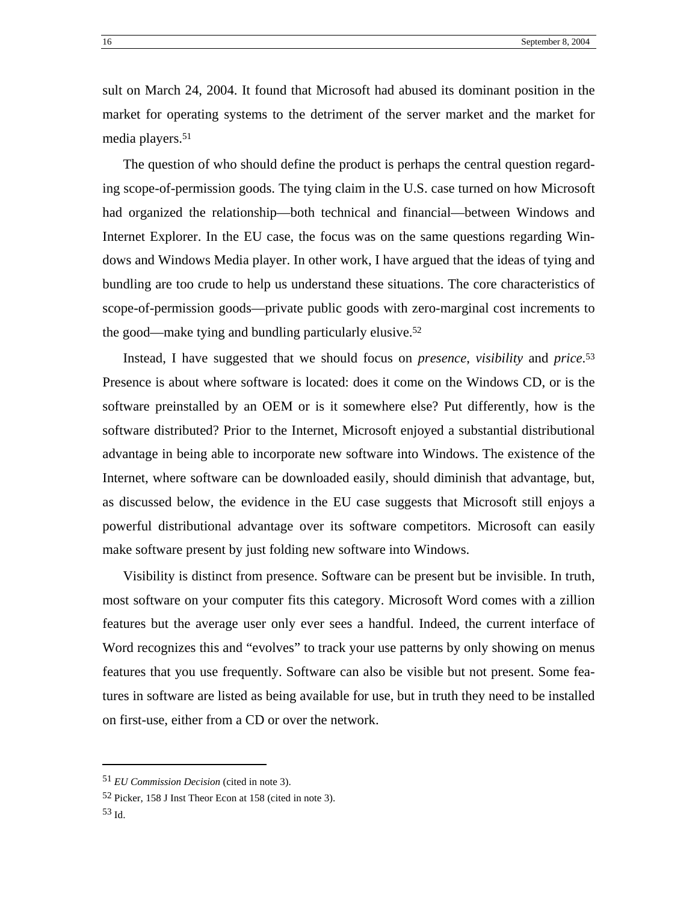sult on March 24, 2004. It found that Microsoft had abused its dominant position in the market for operating systems to the detriment of the server market and the market for media players[.51](#page-18-0)

The question of who should define the product is perhaps the central question regarding scope-of-permission goods. The tying claim in the U.S. case turned on how Microsoft had organized the relationship—both technical and financial—between Windows and Internet Explorer. In the EU case, the focus was on the same questions regarding Windows and Windows Media player. In other work, I have argued that the ideas of tying and bundling are too crude to help us understand these situations. The core characteristics of scope-of-permission goods—private public goods with zero-marginal cost increments to the good—make tying and bundling particularly elusive.[52](#page-18-1)

Instead, I have suggested that we should focus on *presence*, *visibility* and *price*[.53](#page-18-2) Presence is about where software is located: does it come on the Windows CD, or is the software preinstalled by an OEM or is it somewhere else? Put differently, how is the software distributed? Prior to the Internet, Microsoft enjoyed a substantial distributional advantage in being able to incorporate new software into Windows. The existence of the Internet, where software can be downloaded easily, should diminish that advantage, but, as discussed below, the evidence in the EU case suggests that Microsoft still enjoys a powerful distributional advantage over its software competitors. Microsoft can easily make software present by just folding new software into Windows.

Visibility is distinct from presence. Software can be present but be invisible. In truth, most software on your computer fits this category. Microsoft Word comes with a zillion features but the average user only ever sees a handful. Indeed, the current interface of Word recognizes this and "evolves" to track your use patterns by only showing on menus features that you use frequently. Software can also be visible but not present. Some features in software are listed as being available for use, but in truth they need to be installed on first-use, either from a CD or over the network.

<span id="page-18-0"></span><sup>51</sup> *EU Commission Decision* (cited in note 3).

<span id="page-18-1"></span><sup>52</sup> Picker, 158 J Inst Theor Econ at 158 (cited in note 3).

<span id="page-18-2"></span><sup>53</sup> Id.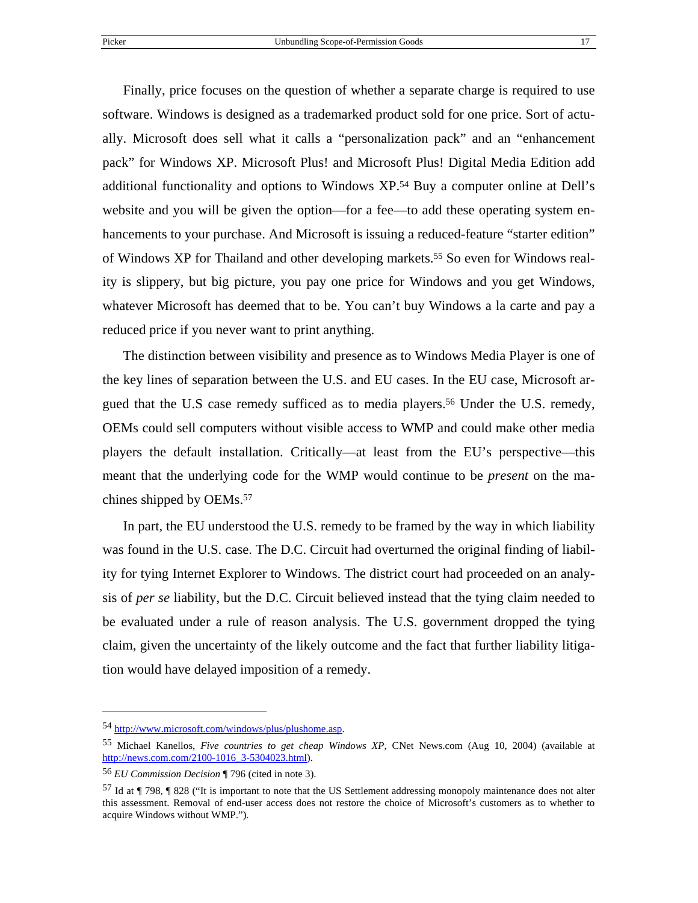Finally, price focuses on the question of whether a separate charge is required to use software. Windows is designed as a trademarked product sold for one price. Sort of actually. Microsoft does sell what it calls a "personalization pack" and an "enhancement pack" for Windows XP. Microsoft Plus! and Microsoft Plus! Digital Media Edition add additional functionality and options to Windows XP.[54](#page-19-0) Buy a computer online at Dell's website and you will be given the option—for a fee—to add these operating system enhancements to your purchase. And Microsoft is issuing a reduced-feature "starter edition" of Windows XP for Thailand and other developing markets[.55](#page-19-1) So even for Windows reality is slippery, but big picture, you pay one price for Windows and you get Windows, whatever Microsoft has deemed that to be. You can't buy Windows a la carte and pay a reduced price if you never want to print anything.

The distinction between visibility and presence as to Windows Media Player is one of the key lines of separation between the U.S. and EU cases. In the EU case, Microsoft argued that the U.S case remedy sufficed as to media players.<sup>56</sup> Under the U.S. remedy, OEMs could sell computers without visible access to WMP and could make other media players the default installation. Critically—at least from the EU's perspective—this meant that the underlying code for the WMP would continue to be *present* on the machines shipped by OEMs.[57](#page-19-3)

In part, the EU understood the U.S. remedy to be framed by the way in which liability was found in the U.S. case. The D.C. Circuit had overturned the original finding of liability for tying Internet Explorer to Windows. The district court had proceeded on an analysis of *per se* liability, but the D.C. Circuit believed instead that the tying claim needed to be evaluated under a rule of reason analysis. The U.S. government dropped the tying claim, given the uncertainty of the likely outcome and the fact that further liability litigation would have delayed imposition of a remedy.

<span id="page-19-0"></span><sup>54</sup> <http://www.microsoft.com/windows/plus/plushome.asp>.

<span id="page-19-1"></span><sup>55</sup> Michael Kanellos, *Five countries to get cheap Windows XP*, CNet News.com (Aug 10, 2004) (available at [http://news.com.com/2100-1016\\_3-5304023.html](http://news.com.com/2100-1016_3-5304023.html)).

<span id="page-19-2"></span><sup>56</sup> *EU Commission Decision* ¶ 796 (cited in note 3).

<span id="page-19-3"></span><sup>57</sup> Id at ¶ 798, ¶ 828 ("It is important to note that the US Settlement addressing monopoly maintenance does not alter this assessment. Removal of end-user access does not restore the choice of Microsoft's customers as to whether to acquire Windows without WMP.").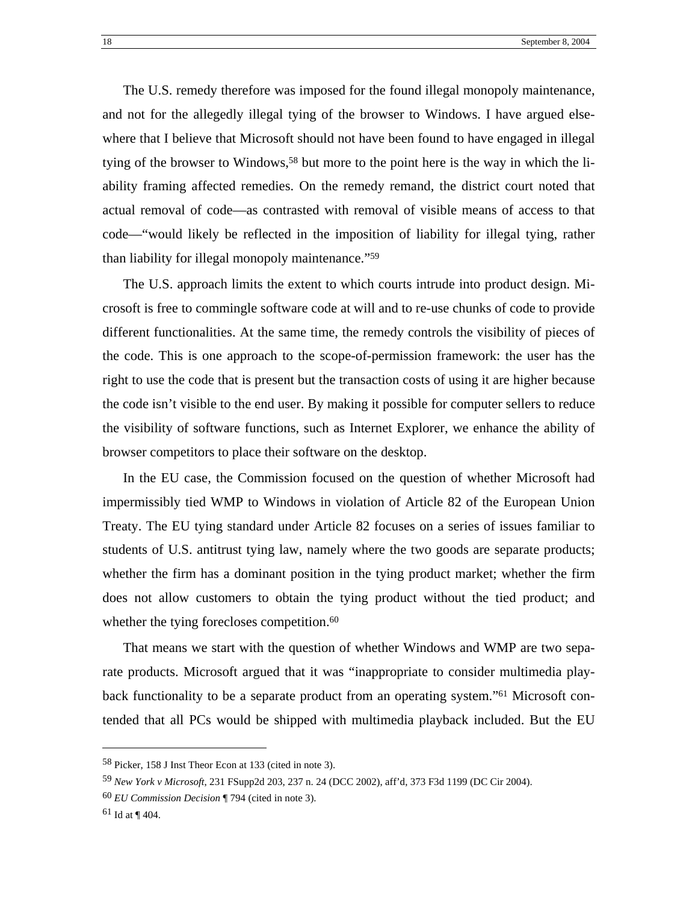The U.S. remedy therefore was imposed for the found illegal monopoly maintenance, and not for the allegedly illegal tying of the browser to Windows. I have argued elsewhere that I believe that Microsoft should not have been found to have engaged in illegal tying of the browser to Windows,<sup>58</sup> but more to the point here is the way in which the liability framing affected remedies. On the remedy remand, the district court noted that actual removal of code—as contrasted with removal of visible means of access to that code—"would likely be reflected in the imposition of liability for illegal tying, rather than liability for illegal monopoly maintenance."[59](#page-20-1)

The U.S. approach limits the extent to which courts intrude into product design. Microsoft is free to commingle software code at will and to re-use chunks of code to provide different functionalities. At the same time, the remedy controls the visibility of pieces of the code. This is one approach to the scope-of-permission framework: the user has the right to use the code that is present but the transaction costs of using it are higher because the code isn't visible to the end user. By making it possible for computer sellers to reduce the visibility of software functions, such as Internet Explorer, we enhance the ability of browser competitors to place their software on the desktop.

In the EU case, the Commission focused on the question of whether Microsoft had impermissibly tied WMP to Windows in violation of Article 82 of the European Union Treaty. The EU tying standard under Article 82 focuses on a series of issues familiar to students of U.S. antitrust tying law, namely where the two goods are separate products; whether the firm has a dominant position in the tying product market; whether the firm does not allow customers to obtain the tying product without the tied product; and whether the tying forecloses competition.<sup>[60](#page-20-2)</sup>

That means we start with the question of whether Windows and WMP are two separate products. Microsoft argued that it was "inappropriate to consider multimedia playback functionality to be a separate product from an operating system."<sup>61</sup> Microsoft contended that all PCs would be shipped with multimedia playback included. But the EU

<span id="page-20-0"></span><sup>58</sup> Picker, 158 J Inst Theor Econ at 133 (cited in note 3).

<span id="page-20-1"></span><sup>59</sup> *New York v Microsoft*, 231 FSupp2d 203, 237 n. 24 (DCC 2002), aff'd, 373 F3d 1199 (DC Cir 2004).

<span id="page-20-2"></span><sup>60</sup> *EU Commission Decision* ¶ 794 (cited in note 3).

<span id="page-20-3"></span> $61$  Id at ¶ 404.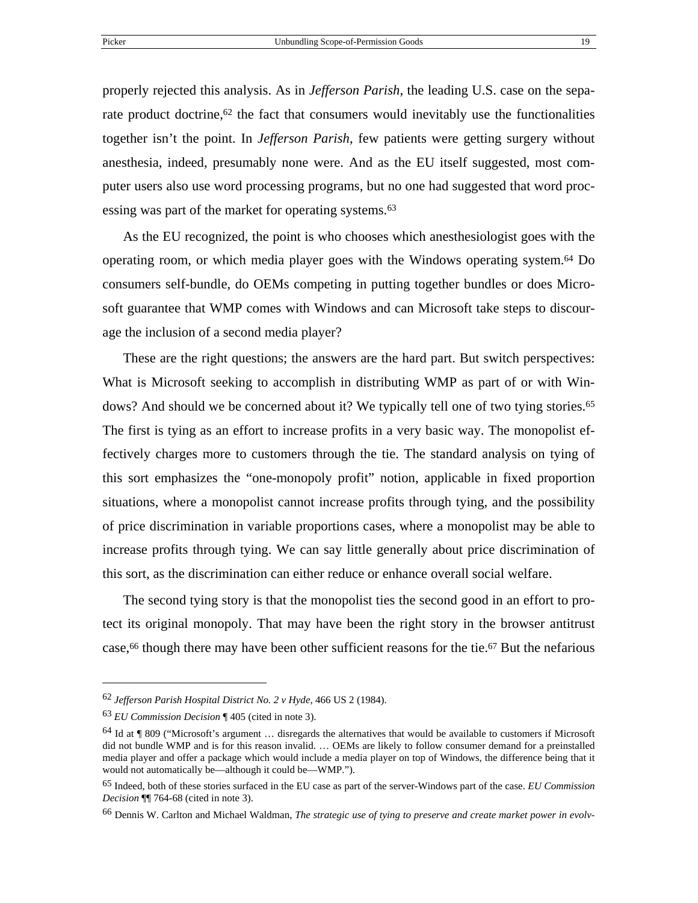<span id="page-21-4"></span>properly rejected this analysis. As in *Jefferson Parish*, the leading U.S. case on the separate product doctrine,<sup>62</sup> the fact that consumers would inevitably use the functionalities together isn't the point. In *Jefferson Parish*, few patients were getting surgery without anesthesia, indeed, presumably none were. And as the EU itself suggested, most computer users also use word processing programs, but no one had suggested that word proc-essing was part of the market for operating systems.<sup>[63](#page-21-1)</sup>

As the EU recognized, the point is who chooses which anesthesiologist goes with the operating room, or which media player goes with the Windows operating system[.64](#page-21-2) Do consumers self-bundle, do OEMs competing in putting together bundles or does Microsoft guarantee that WMP comes with Windows and can Microsoft take steps to discourage the inclusion of a second media player?

These are the right questions; the answers are the hard part. But switch perspectives: What is Microsoft seeking to accomplish in distributing WMP as part of or with Windows? And should we be concerned about it? We typically tell one of two tying stories.<sup>65</sup> The first is tying as an effort to increase profits in a very basic way. The monopolist effectively charges more to customers through the tie. The standard analysis on tying of this sort emphasizes the "one-monopoly profit" notion, applicable in fixed proportion situations, where a monopolist cannot increase profits through tying, and the possibility of price discrimination in variable proportions cases, where a monopolist may be able to increase profits through tying. We can say little generally about price discrimination of this sort, as the discrimination can either reduce or enhance overall social welfare.

The second tying story is that the monopolist ties the second good in an effort to protect its original monopoly. That may have been the right story in the browser antitrust case,<sup>66</sup> though there may have been other sufficient reasons for the tie.<sup>67</sup> But the nefarious

<span id="page-21-5"></span><span id="page-21-0"></span><sup>62</sup> *Jefferson Parish Hospital District No. 2 v Hyde*, 466 US 2 (1984).

<span id="page-21-1"></span><sup>63</sup> *EU Commission Decision* ¶ 405 (cited in note 3).

<span id="page-21-2"></span><sup>64</sup> Id at ¶ 809 ("Microsoft's argument … disregards the alternatives that would be available to customers if Microsoft did not bundle WMP and is for this reason invalid. … OEMs are likely to follow consumer demand for a preinstalled media player and offer a package which would include a media player on top of Windows, the difference being that it would not automatically be—although it could be—WMP.").

<span id="page-21-3"></span><sup>65</sup> Indeed, both of these stories surfaced in the EU case as part of the server-Windows part of the case. *EU Commission Decision* ¶¶ 764-68 (cited in note 3).

<sup>66</sup> Dennis W. Carlton and Michael Waldman, *The strategic use of tying to preserve and create market power in evolv-*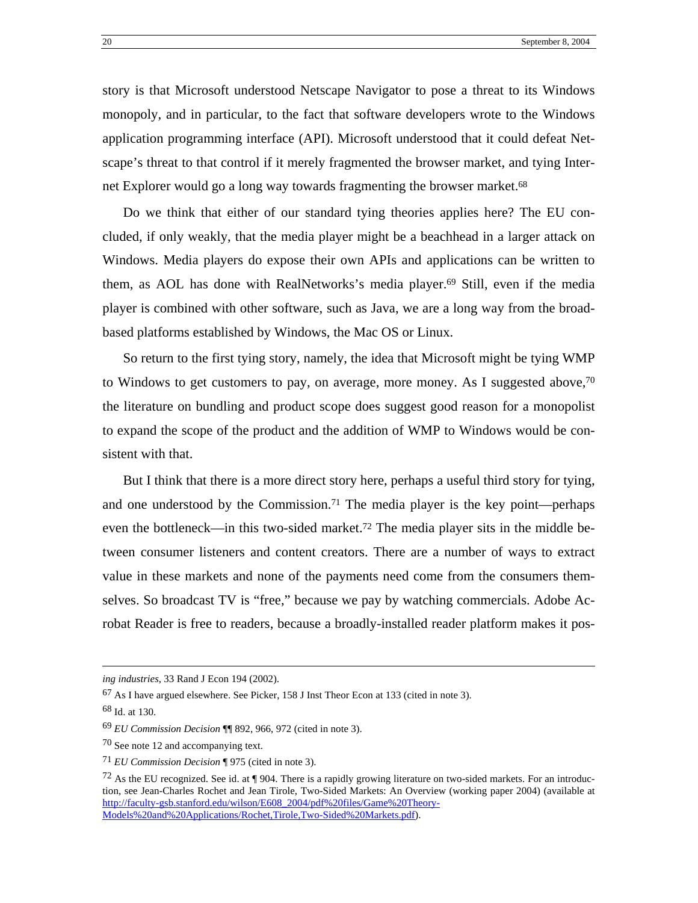story is that Microsoft understood Netscape Navigator to pose a threat to its Windows monopoly, and in particular, to the fact that software developers wrote to the Windows application programming interface (API). Microsoft understood that it could defeat Netscape's threat to that control if it merely fragmented the browser market, and tying Inter-net Explorer would go a long way towards fragmenting the browser market.<sup>[68](#page-22-0)</sup>

Do we think that either of our standard tying theories applies here? The EU concluded, if only weakly, that the media player might be a beachhead in a larger attack on Windows. Media players do expose their own APIs and applications can be written to them, as AOL has done with RealNetworks's media player.<sup>69</sup> Still, even if the media player is combined with other software, such as Java, we are a long way from the broadbased platforms established by Windows, the Mac OS or Linux.

So return to the first tying story, namely, the idea that Microsoft might be tying WMP to Windows to get customers to pay, on average, more money. As I suggested above,  $70$ the literature on bundling and product scope does suggest good reason for a monopolist to expand the scope of the product and the addition of WMP to Windows would be consistent with that.

But I think that there is a more direct story here, perhaps a useful third story for tying, and one understood by the Commission.<sup>71</sup> The media player is the key point—perhaps even the bottleneck—in this two-sided market[.72](#page-22-4) The media player sits in the middle between consumer listeners and content creators. There are a number of ways to extract value in these markets and none of the payments need come from the consumers themselves. So broadcast TV is "free," because we pay by watching commercials. Adobe Acrobat Reader is free to readers, because a broadly-installed reader platform makes it pos-

<u>.</u>

*ing industries*, 33 Rand J Econ 194 (2002).

<sup>67</sup> As I have argued elsewhere. See Picker, 158 J Inst Theor Econ at 133 (cited in note 3).

<span id="page-22-0"></span><sup>68</sup> Id. at 130.

<span id="page-22-1"></span><sup>69</sup> *EU Commission Decision* ¶¶ 892, 966, 972 (cited in note 3).

<span id="page-22-2"></span><sup>70</sup> See note 12 and accompanying text.

<span id="page-22-3"></span><sup>71</sup> *EU Commission Decision* ¶ 975 (cited in note 3).

<span id="page-22-4"></span><sup>&</sup>lt;sup>72</sup> As the EU recognized. See id. at  $\P$  904. There is a rapidly growing literature on two-sided markets. For an introduction, see Jean-Charles Rochet and Jean Tirole, Two-Sided Markets: An Overview (working paper 2004) (available at [http://faculty-gsb.stanford.edu/wilson/E608\\_2004/pdf%20files/Game%20Theory-](http://faculty-gsb.stanford.edu/wilson/E608_2004/pdf files/Game Theory-Models and Applications/Rochet,Tirole,Two-Sided Markets.pdf)[Models%20and%20Applications/Rochet,Tirole,Two-Sided%20Markets.pdf](http://faculty-gsb.stanford.edu/wilson/E608_2004/pdf files/Game Theory-Models and Applications/Rochet,Tirole,Two-Sided Markets.pdf)).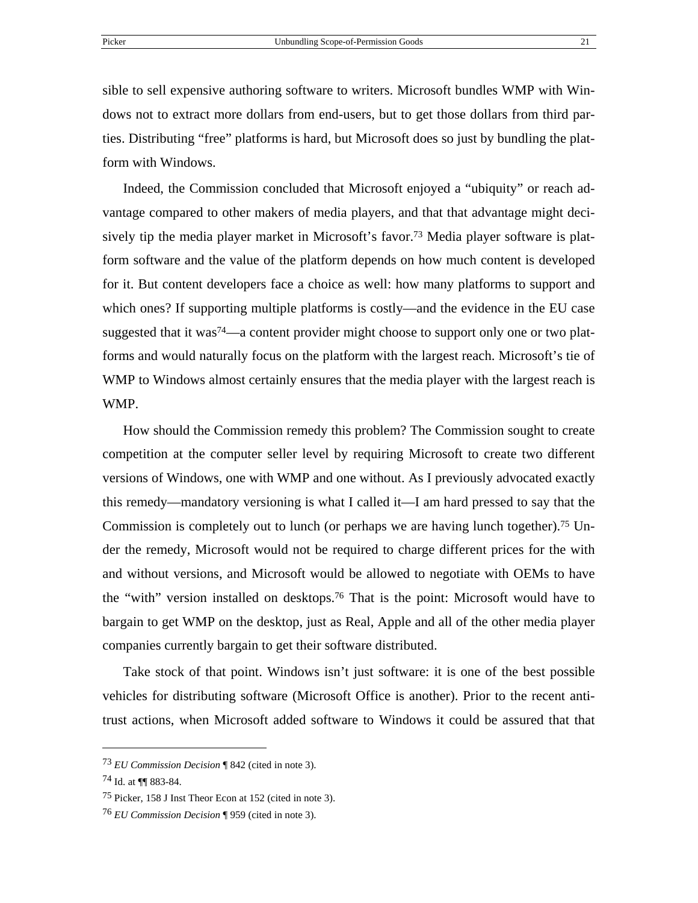sible to sell expensive authoring software to writers. Microsoft bundles WMP with Windows not to extract more dollars from end-users, but to get those dollars from third parties. Distributing "free" platforms is hard, but Microsoft does so just by bundling the platform with Windows.

Indeed, the Commission concluded that Microsoft enjoyed a "ubiquity" or reach advantage compared to other makers of media players, and that that advantage might decisively tip the media player market in Microsoft's favor.[73](#page-23-0) Media player software is platform software and the value of the platform depends on how much content is developed for it. But content developers face a choice as well: how many platforms to support and which ones? If supporting multiple platforms is costly—and the evidence in the EU case suggested that it was<sup>74</sup>—a content provider might choose to support only one or two platforms and would naturally focus on the platform with the largest reach. Microsoft's tie of WMP to Windows almost certainly ensures that the media player with the largest reach is WMP.

How should the Commission remedy this problem? The Commission sought to create competition at the computer seller level by requiring Microsoft to create two different versions of Windows, one with WMP and one without. As I previously advocated exactly this remedy—mandatory versioning is what I called it—I am hard pressed to say that the Commission is completely out to lunch (or perhaps we are having lunch together).<sup>75</sup> Under the remedy, Microsoft would not be required to charge different prices for the with and without versions, and Microsoft would be allowed to negotiate with OEMs to have the "with" version installed on desktops.[76](#page-23-3) That is the point: Microsoft would have to bargain to get WMP on the desktop, just as Real, Apple and all of the other media player companies currently bargain to get their software distributed.

Take stock of that point. Windows isn't just software: it is one of the best possible vehicles for distributing software (Microsoft Office is another). Prior to the recent antitrust actions, when Microsoft added software to Windows it could be assured that that

<span id="page-23-0"></span><sup>73</sup> *EU Commission Decision* ¶ 842 (cited in note 3).

<span id="page-23-1"></span><sup>74</sup> Id. at ¶¶ 883-84.

<span id="page-23-2"></span><sup>75</sup> Picker, 158 J Inst Theor Econ at 152 (cited in note 3).

<span id="page-23-3"></span><sup>76</sup> *EU Commission Decision* ¶ 959 (cited in note 3).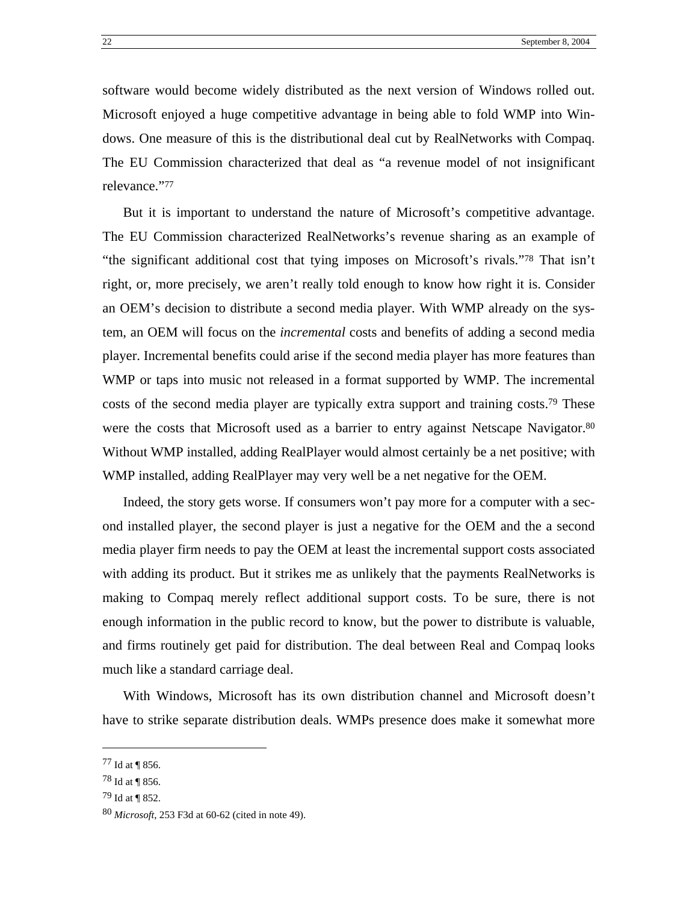software would become widely distributed as the next version of Windows rolled out. Microsoft enjoyed a huge competitive advantage in being able to fold WMP into Windows. One measure of this is the distributional deal cut by RealNetworks with Compaq. The EU Commission characterized that deal as "a revenue model of not insignificant relevance."[77](#page-24-0)

But it is important to understand the nature of Microsoft's competitive advantage. The EU Commission characterized RealNetworks's revenue sharing as an example of "the significant additional cost that tying imposes on Microsoft's rivals."[78](#page-24-1) That isn't right, or, more precisely, we aren't really told enough to know how right it is. Consider an OEM's decision to distribute a second media player. With WMP already on the system, an OEM will focus on the *incremental* costs and benefits of adding a second media player. Incremental benefits could arise if the second media player has more features than WMP or taps into music not released in a format supported by WMP. The incremental costs of the second media player are typically extra support and training costs.<sup>79</sup> These were the costs that Microsoft used as a barrier to entry against Netscape Navigator.<sup>80</sup> Without WMP installed, adding RealPlayer would almost certainly be a net positive; with WMP installed, adding RealPlayer may very well be a net negative for the OEM.

Indeed, the story gets worse. If consumers won't pay more for a computer with a second installed player, the second player is just a negative for the OEM and the a second media player firm needs to pay the OEM at least the incremental support costs associated with adding its product. But it strikes me as unlikely that the payments RealNetworks is making to Compaq merely reflect additional support costs. To be sure, there is not enough information in the public record to know, but the power to distribute is valuable, and firms routinely get paid for distribution. The deal between Real and Compaq looks much like a standard carriage deal.

With Windows, Microsoft has its own distribution channel and Microsoft doesn't have to strike separate distribution deals. WMPs presence does make it somewhat more

<span id="page-24-0"></span><sup>77</sup> Id at ¶ 856.

<span id="page-24-1"></span><sup>78</sup> Id at ¶ 856.

<span id="page-24-2"></span><sup>79</sup> Id at ¶ 852.

<span id="page-24-3"></span><sup>80</sup> *Microsoft*, 253 F3d at 60-62 (cited in note 49).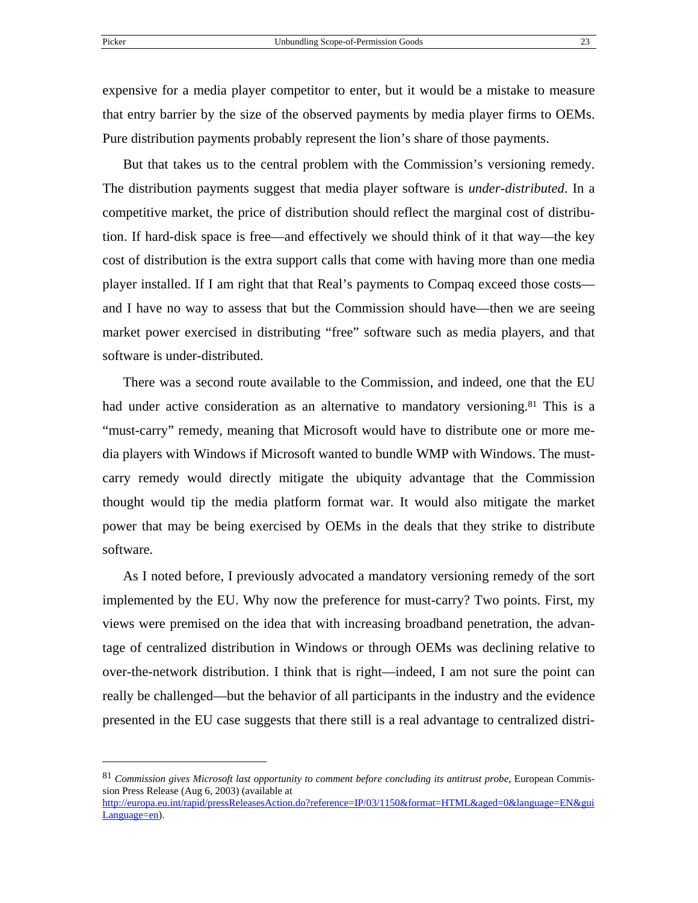1

expensive for a media player competitor to enter, but it would be a mistake to measure that entry barrier by the size of the observed payments by media player firms to OEMs. Pure distribution payments probably represent the lion's share of those payments.

But that takes us to the central problem with the Commission's versioning remedy. The distribution payments suggest that media player software is *under-distributed*. In a competitive market, the price of distribution should reflect the marginal cost of distribution. If hard-disk space is free—and effectively we should think of it that way—the key cost of distribution is the extra support calls that come with having more than one media player installed. If I am right that that Real's payments to Compaq exceed those costs and I have no way to assess that but the Commission should have—then we are seeing market power exercised in distributing "free" software such as media players, and that software is under-distributed.

There was a second route available to the Commission, and indeed, one that the EU had under active consideration as an alternative to mandatory versioning.<sup>81</sup> This is a "must-carry" remedy, meaning that Microsoft would have to distribute one or more media players with Windows if Microsoft wanted to bundle WMP with Windows. The mustcarry remedy would directly mitigate the ubiquity advantage that the Commission thought would tip the media platform format war. It would also mitigate the market power that may be being exercised by OEMs in the deals that they strike to distribute software.

As I noted before, I previously advocated a mandatory versioning remedy of the sort implemented by the EU. Why now the preference for must-carry? Two points. First, my views were premised on the idea that with increasing broadband penetration, the advantage of centralized distribution in Windows or through OEMs was declining relative to over-the-network distribution. I think that is right—indeed, I am not sure the point can really be challenged—but the behavior of all participants in the industry and the evidence presented in the EU case suggests that there still is a real advantage to centralized distri-

[http://europa.eu.int/rapid/pressReleasesAction.do?reference=IP/03/1150&format=HTML&aged=0&language=EN&gui](http://europa.eu.int/rapid/pressReleasesAction.do?reference=IP/03/1150&format=HTML&aged=0&language=EN&guiLanguage=en) [Language=en](http://europa.eu.int/rapid/pressReleasesAction.do?reference=IP/03/1150&format=HTML&aged=0&language=EN&guiLanguage=en)).

<span id="page-25-0"></span><sup>81</sup> *Commission gives Microsoft last opportunity to comment before concluding its antitrust probe*, European Commission Press Release (Aug 6, 2003) (available at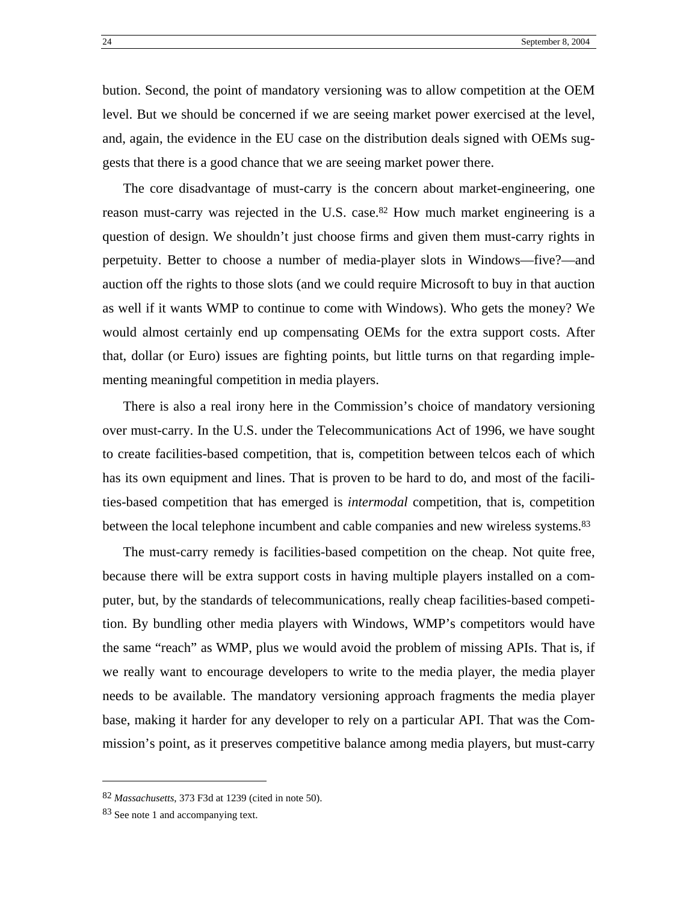bution. Second, the point of mandatory versioning was to allow competition at the OEM level. But we should be concerned if we are seeing market power exercised at the level, and, again, the evidence in the EU case on the distribution deals signed with OEMs suggests that there is a good chance that we are seeing market power there.

The core disadvantage of must-carry is the concern about market-engineering, one reason must-carry was rejected in the U.S. case.<sup>82</sup> How much market engineering is a question of design. We shouldn't just choose firms and given them must-carry rights in perpetuity. Better to choose a number of media-player slots in Windows—five?—and auction off the rights to those slots (and we could require Microsoft to buy in that auction as well if it wants WMP to continue to come with Windows). Who gets the money? We would almost certainly end up compensating OEMs for the extra support costs. After that, dollar (or Euro) issues are fighting points, but little turns on that regarding implementing meaningful competition in media players.

There is also a real irony here in the Commission's choice of mandatory versioning over must-carry. In the U.S. under the Telecommunications Act of 1996, we have sought to create facilities-based competition, that is, competition between telcos each of which has its own equipment and lines. That is proven to be hard to do, and most of the facilities-based competition that has emerged is *intermodal* competition, that is, competition between the local telephone incumbent and cable companies and new wireless systems.<sup>83</sup>

The must-carry remedy is facilities-based competition on the cheap. Not quite free, because there will be extra support costs in having multiple players installed on a computer, but, by the standards of telecommunications, really cheap facilities-based competition. By bundling other media players with Windows, WMP's competitors would have the same "reach" as WMP, plus we would avoid the problem of missing APIs. That is, if we really want to encourage developers to write to the media player, the media player needs to be available. The mandatory versioning approach fragments the media player base, making it harder for any developer to rely on a particular API. That was the Commission's point, as it preserves competitive balance among media players, but must-carry

<span id="page-26-0"></span><sup>82</sup> *Massachusetts*, 373 F3d at 1239 (cited in note 50).

<span id="page-26-1"></span><sup>83</sup> See note 1 and accompanying text.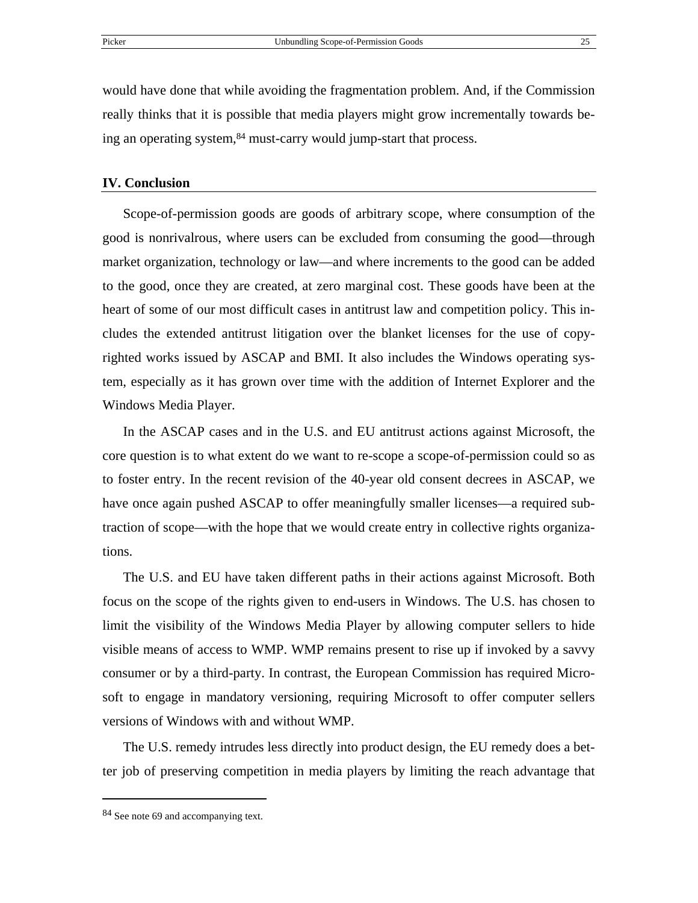would have done that while avoiding the fragmentation problem. And, if the Commission really thinks that it is possible that media players might grow incrementally towards being an operating system,<sup>84</sup> must-carry would jump-start that process.

#### **IV. Conclusion**

Scope-of-permission goods are goods of arbitrary scope, where consumption of the good is nonrivalrous, where users can be excluded from consuming the good—through market organization, technology or law—and where increments to the good can be added to the good, once they are created, at zero marginal cost. These goods have been at the heart of some of our most difficult cases in antitrust law and competition policy. This includes the extended antitrust litigation over the blanket licenses for the use of copyrighted works issued by ASCAP and BMI. It also includes the Windows operating system, especially as it has grown over time with the addition of Internet Explorer and the Windows Media Player.

In the ASCAP cases and in the U.S. and EU antitrust actions against Microsoft, the core question is to what extent do we want to re-scope a scope-of-permission could so as to foster entry. In the recent revision of the 40-year old consent decrees in ASCAP, we have once again pushed ASCAP to offer meaningfully smaller licenses—a required subtraction of scope—with the hope that we would create entry in collective rights organizations.

The U.S. and EU have taken different paths in their actions against Microsoft. Both focus on the scope of the rights given to end-users in Windows. The U.S. has chosen to limit the visibility of the Windows Media Player by allowing computer sellers to hide visible means of access to WMP. WMP remains present to rise up if invoked by a savvy consumer or by a third-party. In contrast, the European Commission has required Microsoft to engage in mandatory versioning, requiring Microsoft to offer computer sellers versions of Windows with and without WMP.

The U.S. remedy intrudes less directly into product design, the EU remedy does a better job of preserving competition in media players by limiting the reach advantage that

<span id="page-27-0"></span><sup>84</sup> See note 69 and accompanying text.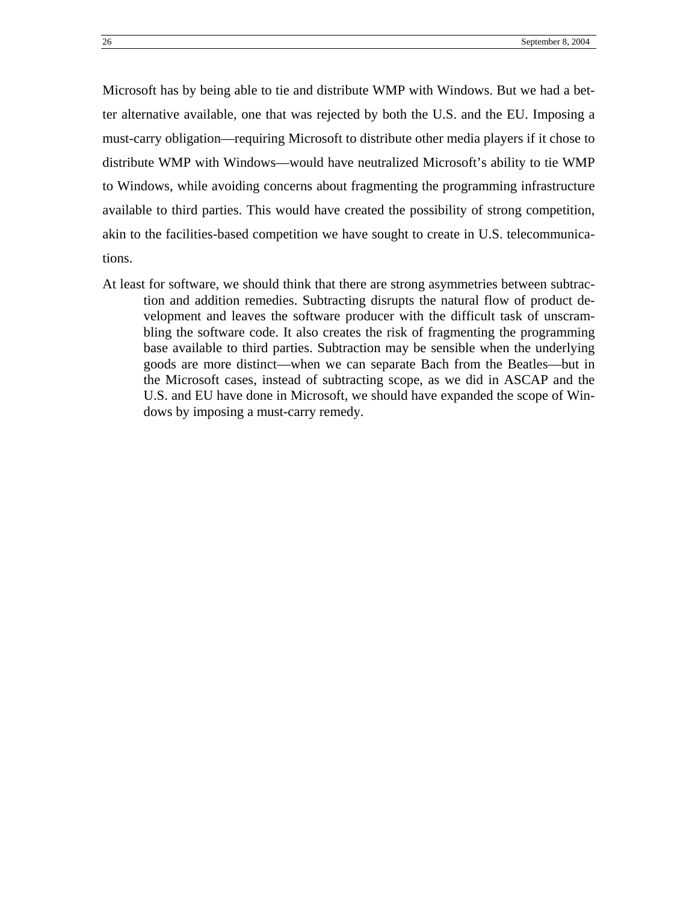Microsoft has by being able to tie and distribute WMP with Windows. But we had a better alternative available, one that was rejected by both the U.S. and the EU. Imposing a must-carry obligation—requiring Microsoft to distribute other media players if it chose to distribute WMP with Windows—would have neutralized Microsoft's ability to tie WMP to Windows, while avoiding concerns about fragmenting the programming infrastructure available to third parties. This would have created the possibility of strong competition, akin to the facilities-based competition we have sought to create in U.S. telecommunications.

At least for software, we should think that there are strong asymmetries between subtraction and addition remedies. Subtracting disrupts the natural flow of product development and leaves the software producer with the difficult task of unscrambling the software code. It also creates the risk of fragmenting the programming base available to third parties. Subtraction may be sensible when the underlying goods are more distinct—when we can separate Bach from the Beatles—but in the Microsoft cases, instead of subtracting scope, as we did in ASCAP and the U.S. and EU have done in Microsoft, we should have expanded the scope of Windows by imposing a must-carry remedy.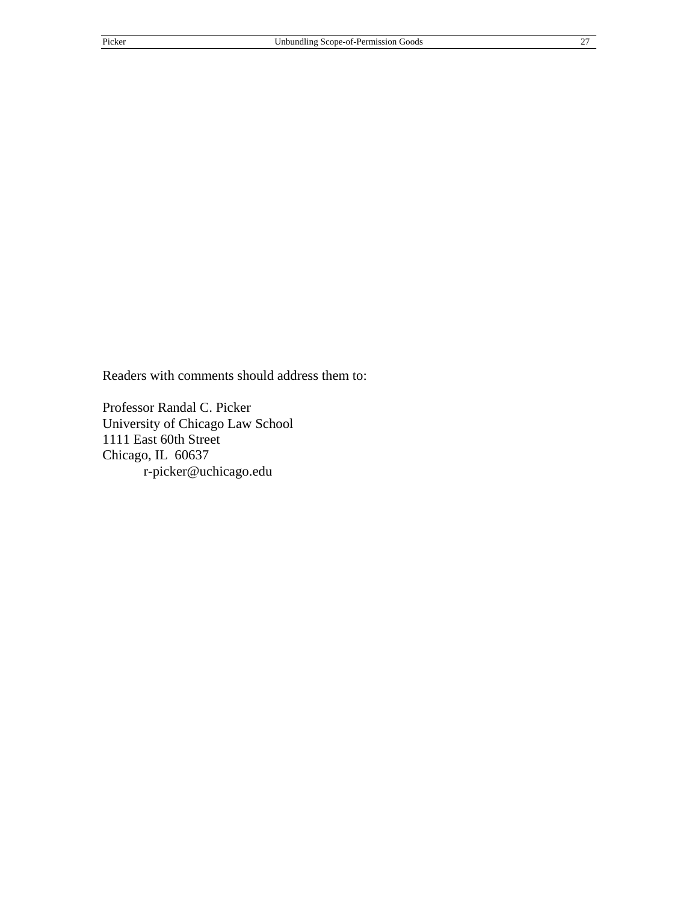Readers with comments should address them to:

Professor Randal C. Picker University of Chicago Law School 1111 East 60th Street Chicago, IL 60637 r-picker@uchicago.edu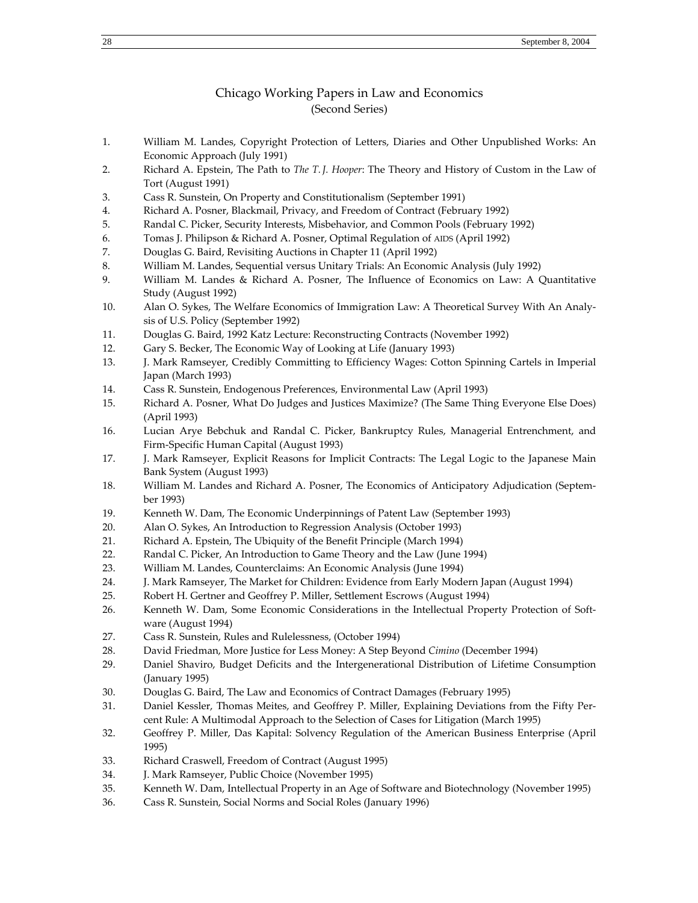#### Chicago Working Papers in Law and Economics (Second Series)

- 1. William M. Landes, Copyright Protection of Letters, Diaries and Other Unpublished Works: An Economic Approach (July 1991)
- 2. Richard A. Epstein, The Path to *The T. J. Hooper*: The Theory and History of Custom in the Law of Tort (August 1991)
- 3. Cass R. Sunstein, On Property and Constitutionalism (September 1991)
- 4. Richard A. Posner, Blackmail, Privacy, and Freedom of Contract (February 1992)
- 5. Randal C. Picker, Security Interests, Misbehavior, and Common Pools (February 1992)
- 6. Tomas J. Philipson & Richard A. Posner, Optimal Regulation of AIDS (April 1992)
- 7. Douglas G. Baird, Revisiting Auctions in Chapter 11 (April 1992)
- 8. William M. Landes, Sequential versus Unitary Trials: An Economic Analysis (July 1992)
- 9. William M. Landes & Richard A. Posner, The Influence of Economics on Law: A Quantitative Study (August 1992)
- 10. Alan O. Sykes, The Welfare Economics of Immigration Law: A Theoretical Survey With An Analysis of U.S. Policy (September 1992)
- 11. Douglas G. Baird, 1992 Katz Lecture: Reconstructing Contracts (November 1992)
- 12. Gary S. Becker, The Economic Way of Looking at Life (January 1993)
- 13. J. Mark Ramseyer, Credibly Committing to Efficiency Wages: Cotton Spinning Cartels in Imperial Japan (March 1993)
- 14. Cass R. Sunstein, Endogenous Preferences, Environmental Law (April 1993)
- 15. Richard A. Posner, What Do Judges and Justices Maximize? (The Same Thing Everyone Else Does) (April 1993)
- 16. Lucian Arye Bebchuk and Randal C. Picker, Bankruptcy Rules, Managerial Entrenchment, and Firm-Specific Human Capital (August 1993)
- 17. J. Mark Ramseyer, Explicit Reasons for Implicit Contracts: The Legal Logic to the Japanese Main Bank System (August 1993)
- 18. William M. Landes and Richard A. Posner, The Economics of Anticipatory Adjudication (September 1993)
- 19. Kenneth W. Dam, The Economic Underpinnings of Patent Law (September 1993)
- 20. Alan O. Sykes, An Introduction to Regression Analysis (October 1993)
- 21. Richard A. Epstein, The Ubiquity of the Benefit Principle (March 1994)
- 22. Randal C. Picker, An Introduction to Game Theory and the Law (June 1994)
- 23. William M. Landes, Counterclaims: An Economic Analysis (June 1994)
- 24. J. Mark Ramseyer, The Market for Children: Evidence from Early Modern Japan (August 1994)
- 25. Robert H. Gertner and Geoffrey P. Miller, Settlement Escrows (August 1994)
- 26. Kenneth W. Dam, Some Economic Considerations in the Intellectual Property Protection of Software (August 1994)
- 27. Cass R. Sunstein, Rules and Rulelessness, (October 1994)
- 28. David Friedman, More Justice for Less Money: A Step Beyond *Cimino* (December 1994)
- 29. Daniel Shaviro, Budget Deficits and the Intergenerational Distribution of Lifetime Consumption (January 1995)
- 30. Douglas G. Baird, The Law and Economics of Contract Damages (February 1995)
- 31. Daniel Kessler, Thomas Meites, and Geoffrey P. Miller, Explaining Deviations from the Fifty Percent Rule: A Multimodal Approach to the Selection of Cases for Litigation (March 1995)
- 32. Geoffrey P. Miller, Das Kapital: Solvency Regulation of the American Business Enterprise (April 1995)
- 33. Richard Craswell, Freedom of Contract (August 1995)
- 34. J. Mark Ramseyer, Public Choice (November 1995)
- 35. Kenneth W. Dam, Intellectual Property in an Age of Software and Biotechnology (November 1995)
- 36. Cass R. Sunstein, Social Norms and Social Roles (January 1996)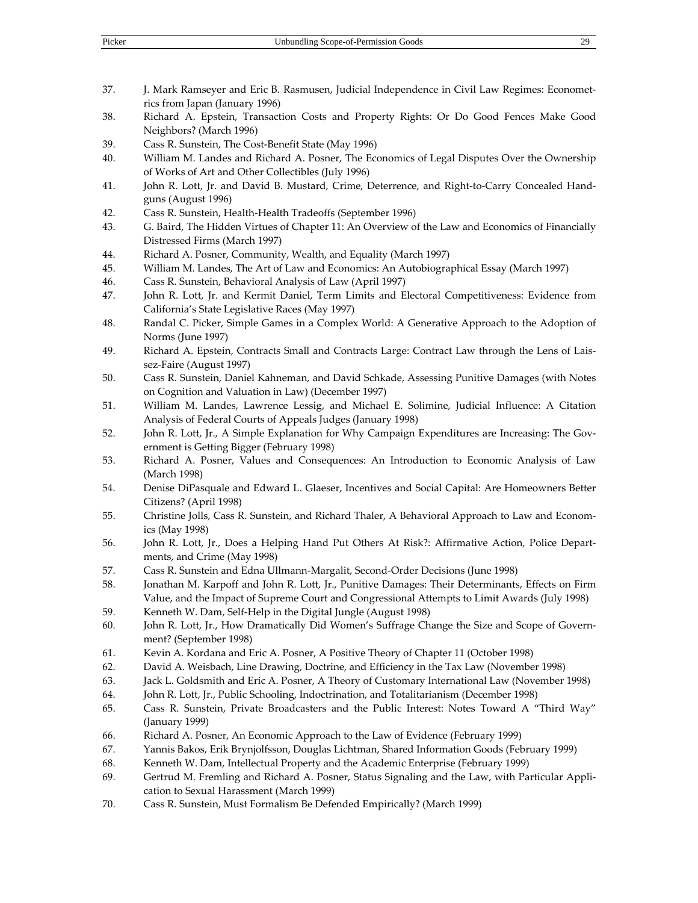- 37. J. Mark Ramseyer and Eric B. Rasmusen, Judicial Independence in Civil Law Regimes: Econometrics from Japan (January 1996)
- 38. Richard A. Epstein, Transaction Costs and Property Rights: Or Do Good Fences Make Good Neighbors? (March 1996)
- 39. Cass R. Sunstein, The Cost-Benefit State (May 1996)
- 40. William M. Landes and Richard A. Posner, The Economics of Legal Disputes Over the Ownership of Works of Art and Other Collectibles (July 1996)
- 41. John R. Lott, Jr. and David B. Mustard, Crime, Deterrence, and Right-to-Carry Concealed Handguns (August 1996)
- 42. Cass R. Sunstein, Health-Health Tradeoffs (September 1996)
- 43. G. Baird, The Hidden Virtues of Chapter 11: An Overview of the Law and Economics of Financially Distressed Firms (March 1997)
- 44. Richard A. Posner, Community, Wealth, and Equality (March 1997)
- 45. William M. Landes, The Art of Law and Economics: An Autobiographical Essay (March 1997)
- 46. Cass R. Sunstein, Behavioral Analysis of Law (April 1997)
- 47. John R. Lott, Jr. and Kermit Daniel, Term Limits and Electoral Competitiveness: Evidence from California's State Legislative Races (May 1997)
- 48. Randal C. Picker, Simple Games in a Complex World: A Generative Approach to the Adoption of Norms (June 1997)
- 49. Richard A. Epstein, Contracts Small and Contracts Large: Contract Law through the Lens of Laissez-Faire (August 1997)
- 50. Cass R. Sunstein, Daniel Kahneman, and David Schkade, Assessing Punitive Damages (with Notes on Cognition and Valuation in Law) (December 1997)
- 51. William M. Landes, Lawrence Lessig, and Michael E. Solimine, Judicial Influence: A Citation Analysis of Federal Courts of Appeals Judges (January 1998)
- 52. John R. Lott, Jr., A Simple Explanation for Why Campaign Expenditures are Increasing: The Government is Getting Bigger (February 1998)
- 53. Richard A. Posner, Values and Consequences: An Introduction to Economic Analysis of Law (March 1998)
- 54. Denise DiPasquale and Edward L. Glaeser, Incentives and Social Capital: Are Homeowners Better Citizens? (April 1998)
- 55. Christine Jolls, Cass R. Sunstein, and Richard Thaler, A Behavioral Approach to Law and Economics (May 1998)
- 56. John R. Lott, Jr., Does a Helping Hand Put Others At Risk?: Affirmative Action, Police Departments, and Crime (May 1998)
- 57. Cass R. Sunstein and Edna Ullmann-Margalit, Second-Order Decisions (June 1998)
- 58. Jonathan M. Karpoff and John R. Lott, Jr., Punitive Damages: Their Determinants, Effects on Firm Value, and the Impact of Supreme Court and Congressional Attempts to Limit Awards (July 1998)
- 59. Kenneth W. Dam, Self-Help in the Digital Jungle (August 1998)
- 60. John R. Lott, Jr., How Dramatically Did Women's Suffrage Change the Size and Scope of Government? (September 1998)
- 61. Kevin A. Kordana and Eric A. Posner, A Positive Theory of Chapter 11 (October 1998)
- 62. David A. Weisbach, Line Drawing, Doctrine, and Efficiency in the Tax Law (November 1998)
- 63. Jack L. Goldsmith and Eric A. Posner, A Theory of Customary International Law (November 1998)
- 64. John R. Lott, Jr., Public Schooling, Indoctrination, and Totalitarianism (December 1998)
- 65. Cass R. Sunstein, Private Broadcasters and the Public Interest: Notes Toward A "Third Way" (January 1999)
- 66. Richard A. Posner, An Economic Approach to the Law of Evidence (February 1999)
- 67. Yannis Bakos, Erik Brynjolfsson, Douglas Lichtman, Shared Information Goods (February 1999)
- 68. Kenneth W. Dam, Intellectual Property and the Academic Enterprise (February 1999)
- 69. Gertrud M. Fremling and Richard A. Posner, Status Signaling and the Law, with Particular Application to Sexual Harassment (March 1999)
- 70. Cass R. Sunstein, Must Formalism Be Defended Empirically? (March 1999)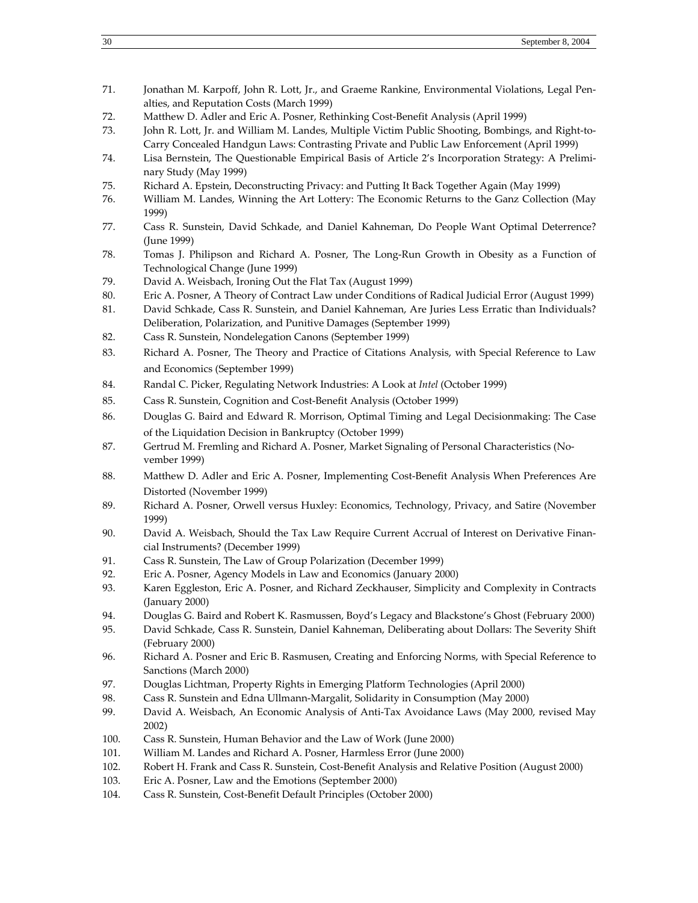- 71. Jonathan M. Karpoff, John R. Lott, Jr., and Graeme Rankine, Environmental Violations, Legal Penalties, and Reputation Costs (March 1999)
- 72. Matthew D. Adler and Eric A. Posner, Rethinking Cost-Benefit Analysis (April 1999)
- 73. John R. Lott, Jr. and William M. Landes, Multiple Victim Public Shooting, Bombings, and Right-to-Carry Concealed Handgun Laws: Contrasting Private and Public Law Enforcement (April 1999)
- 74. Lisa Bernstein, The Questionable Empirical Basis of Article 2's Incorporation Strategy: A Preliminary Study (May 1999)
- 75. Richard A. Epstein, Deconstructing Privacy: and Putting It Back Together Again (May 1999)
- 76. William M. Landes, Winning the Art Lottery: The Economic Returns to the Ganz Collection (May 1999)
- 77. Cass R. Sunstein, David Schkade, and Daniel Kahneman, Do People Want Optimal Deterrence? (June 1999)
- 78. Tomas J. Philipson and Richard A. Posner, The Long-Run Growth in Obesity as a Function of Technological Change (June 1999)
- 79. David A. Weisbach, Ironing Out the Flat Tax (August 1999)
- 80. Eric A. Posner, A Theory of Contract Law under Conditions of Radical Judicial Error (August 1999)
- 81. David Schkade, Cass R. Sunstein, and Daniel Kahneman, Are Juries Less Erratic than Individuals? Deliberation, Polarization, and Punitive Damages (September 1999)
- 82. Cass R. Sunstein, Nondelegation Canons (September 1999)
- 83. Richard A. Posner, The Theory and Practice of Citations Analysis, with Special Reference to Law and Economics (September 1999)
- 84. Randal C. Picker, Regulating Network Industries: A Look at *Intel* (October 1999)
- 85. Cass R. Sunstein, Cognition and Cost-Benefit Analysis (October 1999)
- 86. Douglas G. Baird and Edward R. Morrison, Optimal Timing and Legal Decisionmaking: The Case of the Liquidation Decision in Bankruptcy (October 1999)
- 87. Gertrud M. Fremling and Richard A. Posner, Market Signaling of Personal Characteristics (November 1999)
- 88. Matthew D. Adler and Eric A. Posner, Implementing Cost-Benefit Analysis When Preferences Are Distorted (November 1999)
- 89. Richard A. Posner, Orwell versus Huxley: Economics, Technology, Privacy, and Satire (November 1999)
- 90. David A. Weisbach, Should the Tax Law Require Current Accrual of Interest on Derivative Financial Instruments? (December 1999)
- 91. Cass R. Sunstein, The Law of Group Polarization (December 1999)
- 92. Eric A. Posner, Agency Models in Law and Economics (January 2000)
- 93. Karen Eggleston, Eric A. Posner, and Richard Zeckhauser, Simplicity and Complexity in Contracts (January 2000)
- 94. Douglas G. Baird and Robert K. Rasmussen, Boyd's Legacy and Blackstone's Ghost (February 2000)
- 95. David Schkade, Cass R. Sunstein, Daniel Kahneman, Deliberating about Dollars: The Severity Shift (February 2000)
- 96. Richard A. Posner and Eric B. Rasmusen, Creating and Enforcing Norms, with Special Reference to Sanctions (March 2000)
- 97. Douglas Lichtman, Property Rights in Emerging Platform Technologies (April 2000)
- 98. Cass R. Sunstein and Edna Ullmann-Margalit, Solidarity in Consumption (May 2000)
- 99. David A. Weisbach, An Economic Analysis of Anti-Tax Avoidance Laws (May 2000, revised May 2002)
- 100. Cass R. Sunstein, Human Behavior and the Law of Work (June 2000)
- 101. William M. Landes and Richard A. Posner, Harmless Error (June 2000)
- 102. Robert H. Frank and Cass R. Sunstein, Cost-Benefit Analysis and Relative Position (August 2000)
- 103. Eric A. Posner, Law and the Emotions (September 2000)
- 104. Cass R. Sunstein, Cost-Benefit Default Principles (October 2000)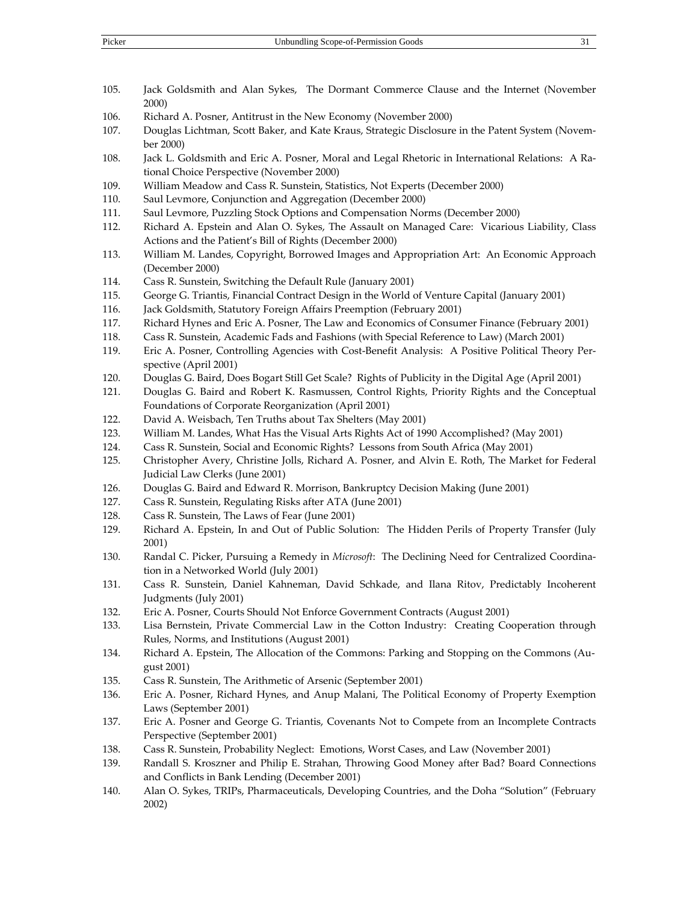- 105. Jack Goldsmith and Alan Sykes, The Dormant Commerce Clause and the Internet (November 2000)
- 106. Richard A. Posner, Antitrust in the New Economy (November 2000)
- 107. Douglas Lichtman, Scott Baker, and Kate Kraus, Strategic Disclosure in the Patent System (November 2000)
- 108. Jack L. Goldsmith and Eric A. Posner, Moral and Legal Rhetoric in International Relations: A Rational Choice Perspective (November 2000)
- 109. William Meadow and Cass R. Sunstein, Statistics, Not Experts (December 2000)
- 110. Saul Levmore, Conjunction and Aggregation (December 2000)
- 111. Saul Levmore, Puzzling Stock Options and Compensation Norms (December 2000)
- 112. Richard A. Epstein and Alan O. Sykes, The Assault on Managed Care: Vicarious Liability, Class Actions and the Patient's Bill of Rights (December 2000)
- 113. William M. Landes, Copyright, Borrowed Images and Appropriation Art: An Economic Approach (December 2000)
- 114. Cass R. Sunstein, Switching the Default Rule (January 2001)
- 115. George G. Triantis, Financial Contract Design in the World of Venture Capital (January 2001)
- 116. Jack Goldsmith, Statutory Foreign Affairs Preemption (February 2001)
- 117. Richard Hynes and Eric A. Posner, The Law and Economics of Consumer Finance (February 2001)
- 118. Cass R. Sunstein, Academic Fads and Fashions (with Special Reference to Law) (March 2001)
- 119. Eric A. Posner, Controlling Agencies with Cost-Benefit Analysis: A Positive Political Theory Perspective (April 2001)
- 120. Douglas G. Baird, Does Bogart Still Get Scale? Rights of Publicity in the Digital Age (April 2001)
- 121. Douglas G. Baird and Robert K. Rasmussen, Control Rights, Priority Rights and the Conceptual Foundations of Corporate Reorganization (April 2001)
- 122. David A. Weisbach, Ten Truths about Tax Shelters (May 2001)
- 123. William M. Landes, What Has the Visual Arts Rights Act of 1990 Accomplished? (May 2001)
- 124. Cass R. Sunstein, Social and Economic Rights? Lessons from South Africa (May 2001)
- 125. Christopher Avery, Christine Jolls, Richard A. Posner, and Alvin E. Roth, The Market for Federal Judicial Law Clerks (June 2001)
- 126. Douglas G. Baird and Edward R. Morrison, Bankruptcy Decision Making (June 2001)
- 127. Cass R. Sunstein, Regulating Risks after ATA (June 2001)
- 128. Cass R. Sunstein, The Laws of Fear (June 2001)
- 129. Richard A. Epstein, In and Out of Public Solution: The Hidden Perils of Property Transfer (July 2001)
- 130. Randal C. Picker, Pursuing a Remedy in *Microsoft*: The Declining Need for Centralized Coordination in a Networked World (July 2001)
- 131. Cass R. Sunstein, Daniel Kahneman, David Schkade, and Ilana Ritov, Predictably Incoherent Judgments (July 2001)
- 132. Eric A. Posner, Courts Should Not Enforce Government Contracts (August 2001)
- 133. Lisa Bernstein, Private Commercial Law in the Cotton Industry: Creating Cooperation through Rules, Norms, and Institutions (August 2001)
- 134. Richard A. Epstein, The Allocation of the Commons: Parking and Stopping on the Commons (August 2001)
- 135. Cass R. Sunstein, The Arithmetic of Arsenic (September 2001)
- 136. Eric A. Posner, Richard Hynes, and Anup Malani, The Political Economy of Property Exemption Laws (September 2001)
- 137. Eric A. Posner and George G. Triantis, Covenants Not to Compete from an Incomplete Contracts Perspective (September 2001)
- 138. Cass R. Sunstein, Probability Neglect: Emotions, Worst Cases, and Law (November 2001)
- 139. Randall S. Kroszner and Philip E. Strahan, Throwing Good Money after Bad? Board Connections and Conflicts in Bank Lending (December 2001)
- 140. Alan O. Sykes, TRIPs, Pharmaceuticals, Developing Countries, and the Doha "Solution" (February 2002)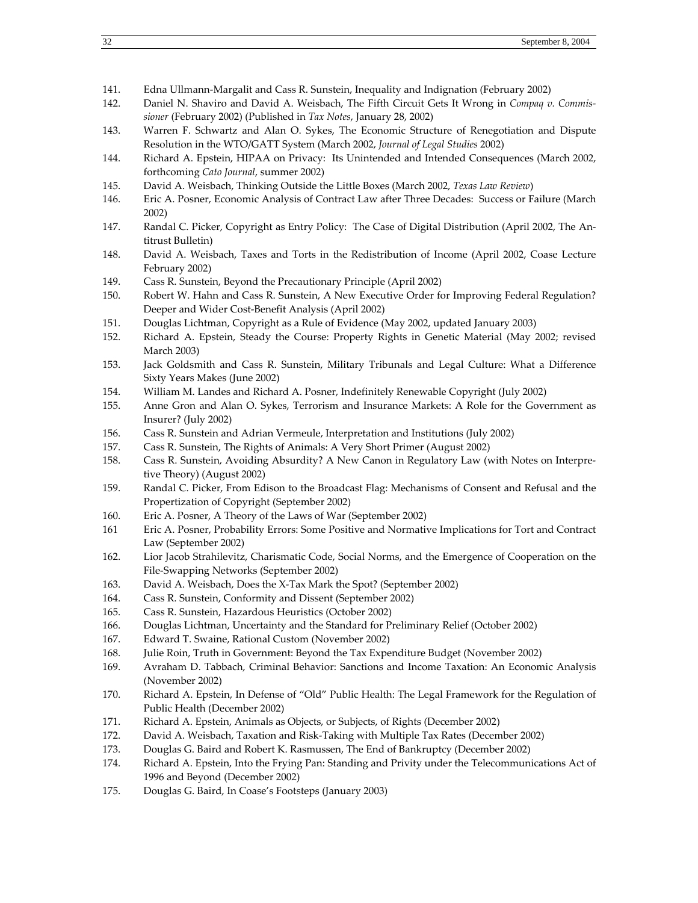- 141. Edna Ullmann-Margalit and Cass R. Sunstein, Inequality and Indignation (February 2002)
- 142. Daniel N. Shaviro and David A. Weisbach, The Fifth Circuit Gets It Wrong in *Compaq v. Commissioner* (February 2002) (Published in *Tax Notes*, January 28, 2002)
- 143. Warren F. Schwartz and Alan O. Sykes, The Economic Structure of Renegotiation and Dispute Resolution in the WTO/GATT System (March 2002, *Journal of Legal Studies* 2002)
- 144. Richard A. Epstein, HIPAA on Privacy: Its Unintended and Intended Consequences (March 2002, forthcoming *Cato Journal*, summer 2002)
- 145. David A. Weisbach, Thinking Outside the Little Boxes (March 2002, *Texas Law Review*)
- 146. Eric A. Posner, Economic Analysis of Contract Law after Three Decades: Success or Failure (March 2002)
- 147. Randal C. Picker, Copyright as Entry Policy: The Case of Digital Distribution (April 2002, The Antitrust Bulletin)
- 148. David A. Weisbach, Taxes and Torts in the Redistribution of Income (April 2002, Coase Lecture February 2002)
- 149. Cass R. Sunstein, Beyond the Precautionary Principle (April 2002)
- 150. Robert W. Hahn and Cass R. Sunstein, A New Executive Order for Improving Federal Regulation? Deeper and Wider Cost-Benefit Analysis (April 2002)
- 151. Douglas Lichtman, Copyright as a Rule of Evidence (May 2002, updated January 2003)
- 152. Richard A. Epstein, Steady the Course: Property Rights in Genetic Material (May 2002; revised March 2003)
- 153. Jack Goldsmith and Cass R. Sunstein, Military Tribunals and Legal Culture: What a Difference Sixty Years Makes (June 2002)
- 154. William M. Landes and Richard A. Posner, Indefinitely Renewable Copyright (July 2002)
- 155. Anne Gron and Alan O. Sykes, Terrorism and Insurance Markets: A Role for the Government as Insurer? (July 2002)
- 156. Cass R. Sunstein and Adrian Vermeule, Interpretation and Institutions (July 2002)
- 157. Cass R. Sunstein, The Rights of Animals: A Very Short Primer (August 2002)
- 158. Cass R. Sunstein, Avoiding Absurdity? A New Canon in Regulatory Law (with Notes on Interpretive Theory) (August 2002)
- 159. Randal C. Picker, From Edison to the Broadcast Flag: Mechanisms of Consent and Refusal and the Propertization of Copyright (September 2002)
- 160. Eric A. Posner, A Theory of the Laws of War (September 2002)
- 161 Eric A. Posner, Probability Errors: Some Positive and Normative Implications for Tort and Contract Law (September 2002)
- 162. Lior Jacob Strahilevitz, Charismatic Code, Social Norms, and the Emergence of Cooperation on the File-Swapping Networks (September 2002)
- 163. David A. Weisbach, Does the X-Tax Mark the Spot? (September 2002)
- 164. Cass R. Sunstein, Conformity and Dissent (September 2002)
- 165. Cass R. Sunstein, Hazardous Heuristics (October 2002)
- 166. Douglas Lichtman, Uncertainty and the Standard for Preliminary Relief (October 2002)
- 167. Edward T. Swaine, Rational Custom (November 2002)
- 168. Julie Roin, Truth in Government: Beyond the Tax Expenditure Budget (November 2002)
- 169. Avraham D. Tabbach, Criminal Behavior: Sanctions and Income Taxation: An Economic Analysis (November 2002)
- 170. Richard A. Epstein, In Defense of "Old" Public Health: The Legal Framework for the Regulation of Public Health (December 2002)
- 171. Richard A. Epstein, Animals as Objects, or Subjects, of Rights (December 2002)
- 172. David A. Weisbach, Taxation and Risk-Taking with Multiple Tax Rates (December 2002)
- 173. Douglas G. Baird and Robert K. Rasmussen, The End of Bankruptcy (December 2002)
- 174. Richard A. Epstein, Into the Frying Pan: Standing and Privity under the Telecommunications Act of 1996 and Beyond (December 2002)
- 175. Douglas G. Baird, In Coase's Footsteps (January 2003)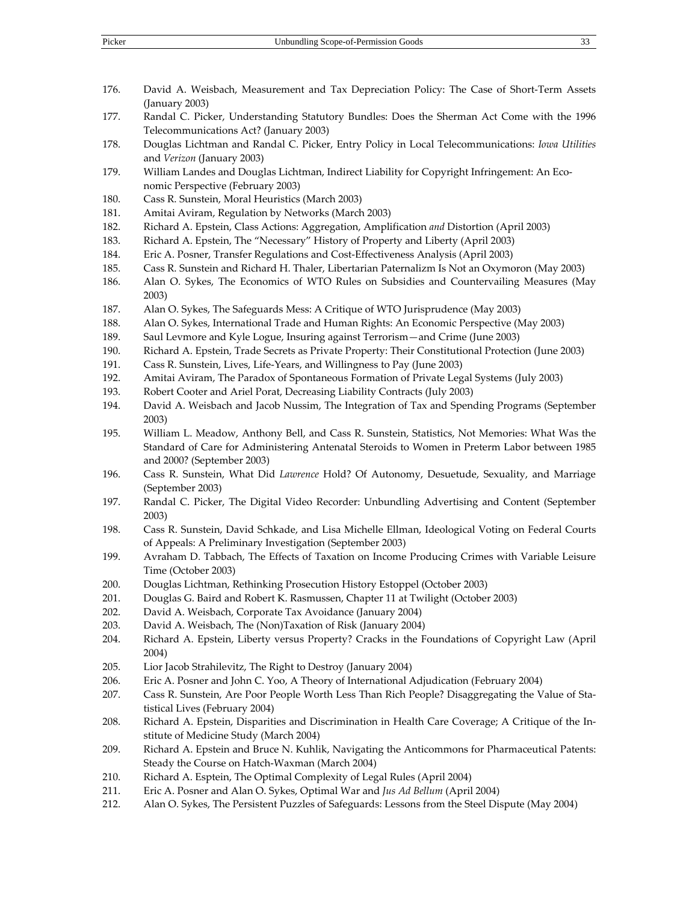- 176. David A. Weisbach, Measurement and Tax Depreciation Policy: The Case of Short-Term Assets (January 2003)
- 177. Randal C. Picker, Understanding Statutory Bundles: Does the Sherman Act Come with the 1996 Telecommunications Act? (January 2003)
- 178. Douglas Lichtman and Randal C. Picker, Entry Policy in Local Telecommunications: *Iowa Utilities* and *Verizon* (January 2003)
- 179. William Landes and Douglas Lichtman, Indirect Liability for Copyright Infringement: An Economic Perspective (February 2003)
- 180. Cass R. Sunstein, Moral Heuristics (March 2003)
- 181. Amitai Aviram, Regulation by Networks (March 2003)
- 182. Richard A. Epstein, Class Actions: Aggregation, Amplification *and* Distortion (April 2003)
- 183. Richard A. Epstein, The "Necessary" History of Property and Liberty (April 2003)
- 184. Eric A. Posner, Transfer Regulations and Cost-Effectiveness Analysis (April 2003)
- 185. Cass R. Sunstein and Richard H. Thaler, Libertarian Paternalizm Is Not an Oxymoron (May 2003)
- 186. Alan O. Sykes, The Economics of WTO Rules on Subsidies and Countervailing Measures (May 2003)
- 187. Alan O. Sykes, The Safeguards Mess: A Critique of WTO Jurisprudence (May 2003)
- 188. Alan O. Sykes, International Trade and Human Rights: An Economic Perspective (May 2003)
- 189. Saul Levmore and Kyle Logue, Insuring against Terrorism—and Crime (June 2003)
- 190. Richard A. Epstein, Trade Secrets as Private Property: Their Constitutional Protection (June 2003)
- 191. Cass R. Sunstein, Lives, Life-Years, and Willingness to Pay (June 2003)
- 192. Amitai Aviram, The Paradox of Spontaneous Formation of Private Legal Systems (July 2003)
- 193. Robert Cooter and Ariel Porat, Decreasing Liability Contracts (July 2003)
- 194. David A. Weisbach and Jacob Nussim, The Integration of Tax and Spending Programs (September 2003)
- 195. William L. Meadow, Anthony Bell, and Cass R. Sunstein, Statistics, Not Memories: What Was the Standard of Care for Administering Antenatal Steroids to Women in Preterm Labor between 1985 and 2000? (September 2003)
- 196. Cass R. Sunstein, What Did *Lawrence* Hold? Of Autonomy, Desuetude, Sexuality, and Marriage (September 2003)
- 197. Randal C. Picker, The Digital Video Recorder: Unbundling Advertising and Content (September 2003)
- 198. Cass R. Sunstein, David Schkade, and Lisa Michelle Ellman, Ideological Voting on Federal Courts of Appeals: A Preliminary Investigation (September 2003)
- 199. Avraham D. Tabbach, The Effects of Taxation on Income Producing Crimes with Variable Leisure Time (October 2003)
- 200. Douglas Lichtman, Rethinking Prosecution History Estoppel (October 2003)
- 201. Douglas G. Baird and Robert K. Rasmussen, Chapter 11 at Twilight (October 2003)
- 202. David A. Weisbach, Corporate Tax Avoidance (January 2004)
- 203. David A. Weisbach, The (Non)Taxation of Risk (January 2004)
- 204. Richard A. Epstein, Liberty versus Property? Cracks in the Foundations of Copyright Law (April 2004)
- 205. Lior Jacob Strahilevitz, The Right to Destroy (January 2004)
- 206. Eric A. Posner and John C. Yoo, A Theory of International Adjudication (February 2004)
- 207. Cass R. Sunstein, Are Poor People Worth Less Than Rich People? Disaggregating the Value of Statistical Lives (February 2004)
- 208. Richard A. Epstein, Disparities and Discrimination in Health Care Coverage; A Critique of the Institute of Medicine Study (March 2004)
- 209. Richard A. Epstein and Bruce N. Kuhlik, Navigating the Anticommons for Pharmaceutical Patents: Steady the Course on Hatch-Waxman (March 2004)
- 210. Richard A. Esptein, The Optimal Complexity of Legal Rules (April 2004)
- 211. Eric A. Posner and Alan O. Sykes, Optimal War and *Jus Ad Bellum* (April 2004)
- 212. Alan O. Sykes, The Persistent Puzzles of Safeguards: Lessons from the Steel Dispute (May 2004)